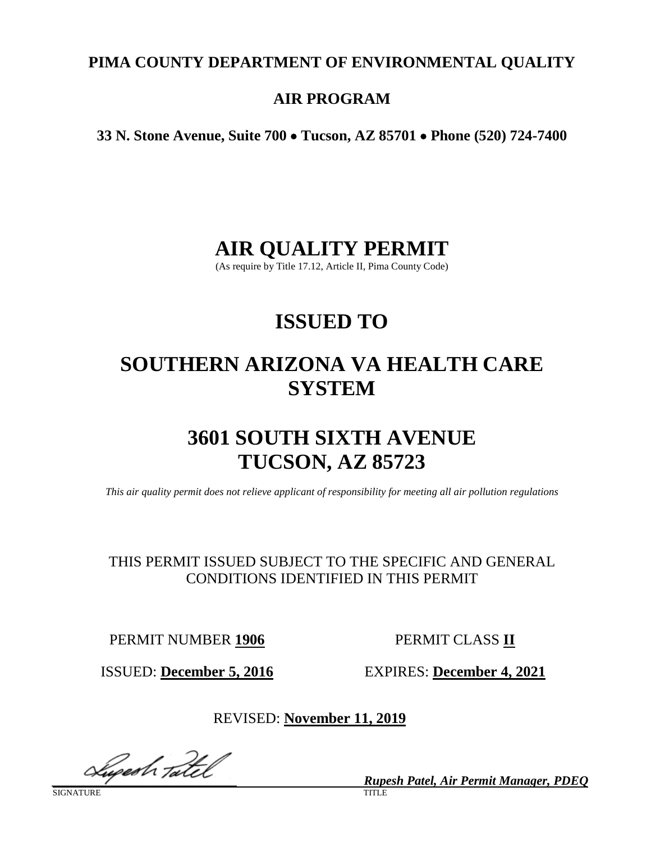# **PIMA COUNTY DEPARTMENT OF ENVIRONMENTAL QUALITY**

# **AIR PROGRAM**

**33 N. Stone Avenue, Suite 700** • **Tucson, AZ 85701** • **Phone (520) 724-7400**

# **AIR QUALITY PERMIT**

(As require by Title 17.12, Article II, Pima County Code)

# **ISSUED TO**

# **SOUTHERN ARIZONA VA HEALTH CARE SYSTEM**

# **3601 SOUTH SIXTH AVENUE TUCSON, AZ 85723**

*This air quality permit does not relieve applicant of responsibility for meeting all air pollution regulations*

THIS PERMIT ISSUED SUBJECT TO THE SPECIFIC AND GENERAL CONDITIONS IDENTIFIED IN THIS PERMIT

PERMIT NUMBER **1906** PERMIT CLASS **II**

ISSUED: **December 5, 2016** EXPIRES: **December 4, 2021**

REVISED: **November 11, 2019**

**Luges h Tatel** 

SIGNATURE TITLE THE SERVICE OF THE SERVICE OF THE SERVICE OF THE SERVICE OF THE SERVICE OF THE SERVICE OF THE S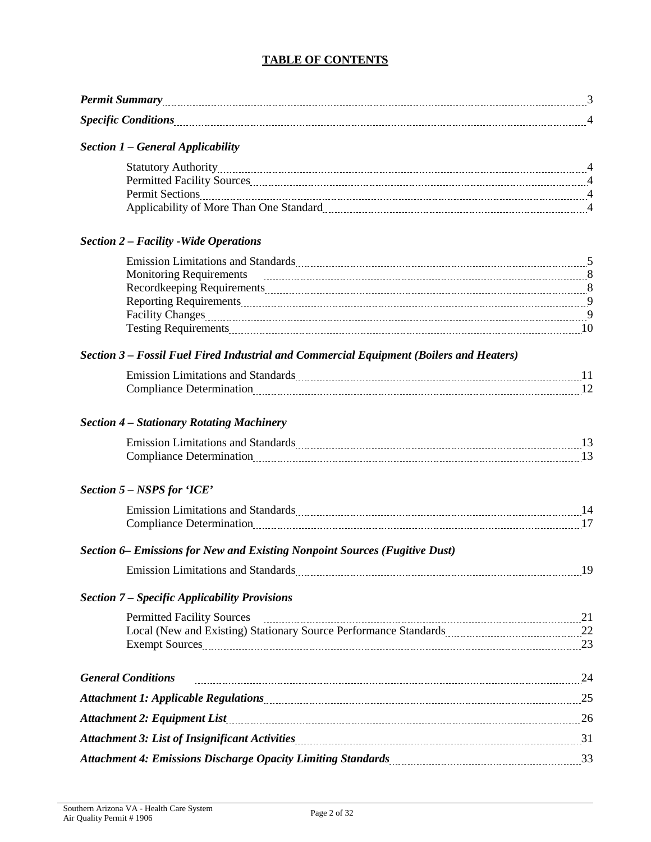## **TABLE OF CONTENTS**

*Permit Summary* 2008. 2008. 2016. 2016. 2016. 2016. 2016. 2016. 2016. 2016. 2016. 2016. 2016. 2016. 2016. 2016. 2016. 2016. 2016. 2016. 2016. 2016. 2016. 2016. 2016. 2016. 2016. 2016. 2016. 2016. 2016. 2016. 2016. 2016. 2

| <b>Section 1 - General Applicability</b>                                                                                                                                                                                       |  |
|--------------------------------------------------------------------------------------------------------------------------------------------------------------------------------------------------------------------------------|--|
|                                                                                                                                                                                                                                |  |
|                                                                                                                                                                                                                                |  |
|                                                                                                                                                                                                                                |  |
| Applicability of More Than One Standard [11] Applicability of More Than One Standard [11] Applicability of More Than One Standard [11] Applicability of More Than One Standard [11] Applicability of More Than One Standard [1 |  |
| <b>Section 2 - Facility - Wide Operations</b>                                                                                                                                                                                  |  |
| Emission Limitations and Standards Manual Manual Manual Manual Manual Manual Manual Manual Manual Manual Manua                                                                                                                 |  |
| Monitoring Requirements 2000 and 2000 and 2000 and 2000 and 2000 and 2000 and 2000 and 2000 and 2000 and 2000 and 2000 and 2000 and 2000 and 2000 and 2000 and 2000 and 2000 and 2000 and 2000 and 2000 and 2000 and 2000 and  |  |
|                                                                                                                                                                                                                                |  |
|                                                                                                                                                                                                                                |  |
|                                                                                                                                                                                                                                |  |
|                                                                                                                                                                                                                                |  |
| Section 3 – Fossil Fuel Fired Industrial and Commercial Equipment (Boilers and Heaters)                                                                                                                                        |  |
| Emission Limitations and Standards Manual Manual Manual Manual Manual Manual Manual Manual Manual Manual Manua                                                                                                                 |  |
| Compliance Determination 2010 12                                                                                                                                                                                               |  |
| <b>Section 4 - Stationary Rotating Machinery</b>                                                                                                                                                                               |  |
| Emission Limitations and Standards Manual Manual Manual Manual Manual Manual Manual Manual Manual Manual Manua                                                                                                                 |  |
|                                                                                                                                                                                                                                |  |
| Section 5 - NSPS for 'ICE'                                                                                                                                                                                                     |  |
| Emission Limitations and Standards Material According to the United Standards Material According to the United Standards Material According to the United Standards Material According to the United Standards Material Accord |  |
|                                                                                                                                                                                                                                |  |
| Section 6– Emissions for New and Existing Nonpoint Sources (Fugitive Dust)                                                                                                                                                     |  |
| Emission Limitations and Standards Manual Assembly 19 and 20 and 20 and 20 and 20 and 20 and 20 and 20 and 20 and 20 and 20 and 20 and 20 and 20 and 20 and 20 and 20 and 20 and 20 and 20 and 20 and 20 and 20 and 20 and 20  |  |
| <b>Section 7 – Specific Applicability Provisions</b>                                                                                                                                                                           |  |
| Permitted Facility Sources 21                                                                                                                                                                                                  |  |
| Local (New and Existing) Stationary Source Performance Standards [11, 22 ] [22]                                                                                                                                                |  |
|                                                                                                                                                                                                                                |  |
| <b>General Conditions</b>                                                                                                                                                                                                      |  |
| Attachment 1: Applicable Regulations [11] Attachment 1: Applicable Regulations [25] Attachment 1: Applicable Regulations [11] Attachment 25                                                                                    |  |
|                                                                                                                                                                                                                                |  |
| Attachment 3: List of Insignificant Activities <b>Mature 2016</b> 2021 2022 31                                                                                                                                                 |  |
|                                                                                                                                                                                                                                |  |
|                                                                                                                                                                                                                                |  |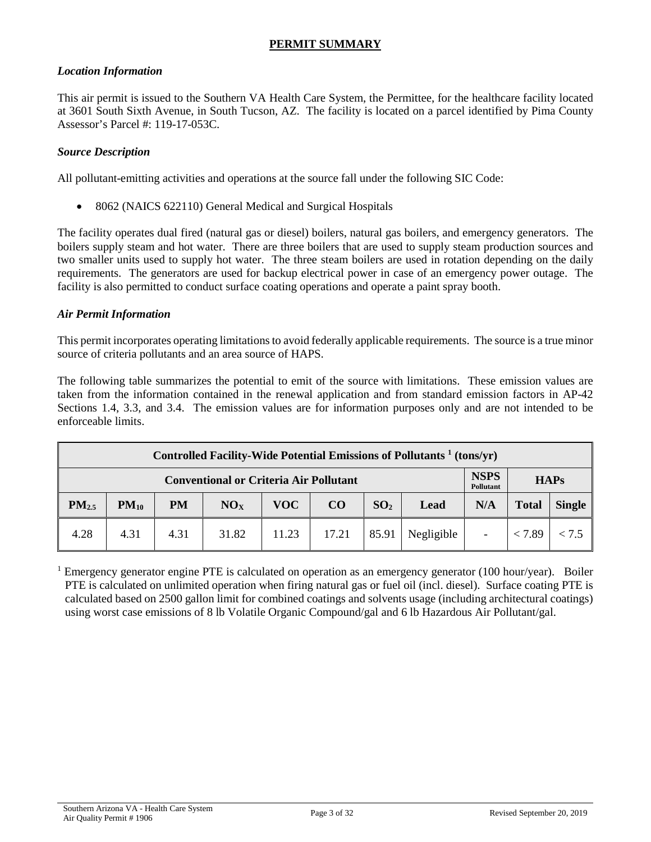# **PERMIT SUMMARY**

#### *Location Information*

This air permit is issued to the Southern VA Health Care System, the Permittee, for the healthcare facility located at 3601 South Sixth Avenue, in South Tucson, AZ. The facility is located on a parcel identified by Pima County Assessor's Parcel #: 119-17-053C.

#### *Source Description*

All pollutant-emitting activities and operations at the source fall under the following SIC Code:

• 8062 (NAICS 622110) General Medical and Surgical Hospitals

The facility operates dual fired (natural gas or diesel) boilers, natural gas boilers, and emergency generators. The boilers supply steam and hot water. There are three boilers that are used to supply steam production sources and two smaller units used to supply hot water. The three steam boilers are used in rotation depending on the daily requirements. The generators are used for backup electrical power in case of an emergency power outage. The facility is also permitted to conduct surface coating operations and operate a paint spray booth.

#### *Air Permit Information*

This permit incorporates operating limitationsto avoid federally applicable requirements. The source is a true minor source of criteria pollutants and an area source of HAPS.

The following table summarizes the potential to emit of the source with limitations. These emission values are taken from the information contained in the renewal application and from standard emission factors in AP-42 Sections 1.4, 3.3, and 3.4. The emission values are for information purposes only and are not intended to be enforceable limits.

| Controlled Facility-Wide Potential Emissions of Pollutants <sup>1</sup> (tons/yr) |           |           |       |            |       |                         |            |     |              |               |
|-----------------------------------------------------------------------------------|-----------|-----------|-------|------------|-------|-------------------------|------------|-----|--------------|---------------|
| <b>NSPS</b><br><b>Conventional or Criteria Air Pollutant</b><br><b>Pollutant</b>  |           |           |       |            |       |                         |            |     |              | <b>HAPs</b>   |
| PM <sub>2.5</sub>                                                                 | $PM_{10}$ | <b>PM</b> | NOx   | <b>VOC</b> | CO    | SO <sub>2</sub><br>Lead |            | N/A | <b>Total</b> | <b>Single</b> |
| 4.28                                                                              | 4.31      | 4.31      | 31.82 | 11.23      | 17.21 | 85.91                   | Negligible |     | < 7.89       | < 7.5         |

<sup>1</sup> Emergency generator engine PTE is calculated on operation as an emergency generator (100 hour/year). Boiler PTE is calculated on unlimited operation when firing natural gas or fuel oil (incl. diesel). Surface coating PTE is calculated based on 2500 gallon limit for combined coatings and solvents usage (including architectural coatings) using worst case emissions of 8 lb Volatile Organic Compound/gal and 6 lb Hazardous Air Pollutant/gal.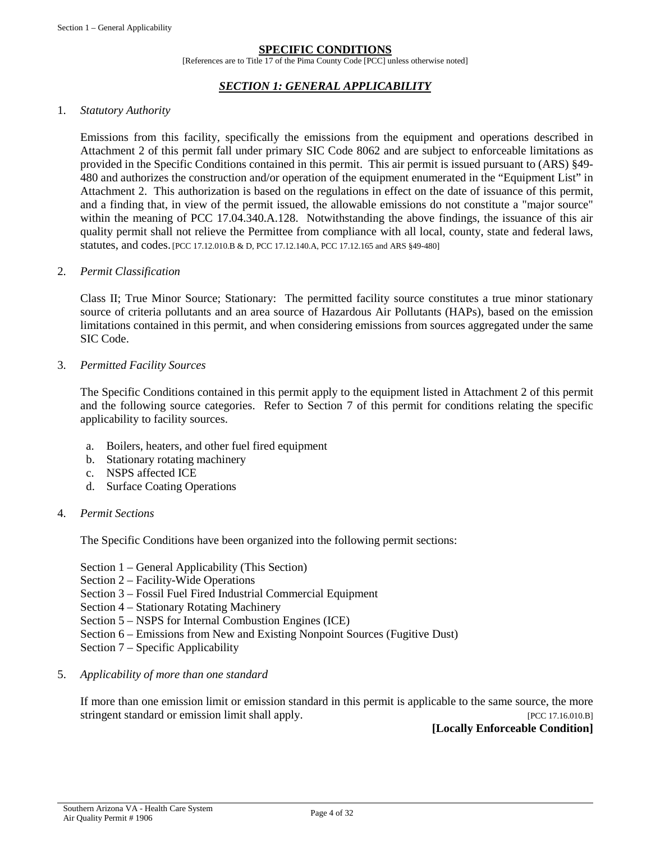#### **SPECIFIC CONDITIONS**

[References are to Title 17 of the Pima County Code [PCC] unless otherwise noted]

#### *SECTION 1: GENERAL APPLICABILITY*

#### 1. *Statutory Authority*

Emissions from this facility, specifically the emissions from the equipment and operations described in Attachment 2 of this permit fall under primary SIC Code 8062 and are subject to enforceable limitations as provided in the Specific Conditions contained in this permit. This air permit is issued pursuant to (ARS) §49- 480 and authorizes the construction and/or operation of the equipment enumerated in the "Equipment List" in Attachment 2. This authorization is based on the regulations in effect on the date of issuance of this permit, and a finding that, in view of the permit issued, the allowable emissions do not constitute a "major source" within the meaning of PCC 17.04.340.A.128. Notwithstanding the above findings, the issuance of this air quality permit shall not relieve the Permittee from compliance with all local, county, state and federal laws, statutes, and codes. [PCC 17.12.010.B & D, PCC 17.12.140.A, PCC 17.12.165 and ARS §49-480]

#### 2. *Permit Classification*

Class II; True Minor Source; Stationary: The permitted facility source constitutes a true minor stationary source of criteria pollutants and an area source of Hazardous Air Pollutants (HAPs), based on the emission limitations contained in this permit, and when considering emissions from sources aggregated under the same SIC Code.

#### 3. *Permitted Facility Sources*

The Specific Conditions contained in this permit apply to the equipment listed in Attachment 2 of this permit and the following source categories. Refer to Section 7 of this permit for conditions relating the specific applicability to facility sources.

- a. Boilers, heaters, and other fuel fired equipment
- b. Stationary rotating machinery
- c. NSPS affected ICE
- d. Surface Coating Operations

#### 4. *Permit Sections*

The Specific Conditions have been organized into the following permit sections:

- Section 1 General Applicability (This Section)
- Section 2 Facility-Wide Operations
- Section 3 Fossil Fuel Fired Industrial Commercial Equipment
- Section 4 Stationary Rotating Machinery
- Section 5 NSPS for Internal Combustion Engines (ICE)
- Section 6 Emissions from New and Existing Nonpoint Sources (Fugitive Dust)
- Section 7 Specific Applicability

#### 5. *Applicability of more than one standard*

If more than one emission limit or emission standard in this permit is applicable to the same source, the more stringent standard or emission limit shall apply. [PCC 17.16.010.B]

**[Locally Enforceable Condition]**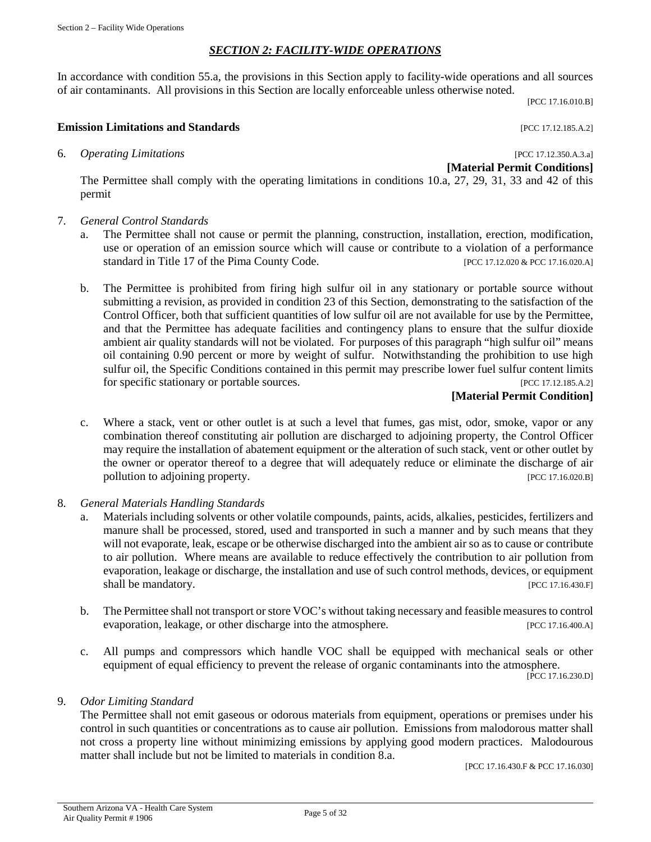#### *SECTION 2: FACILITY-WIDE OPERATIONS*

In accordance with condition 55.a, the provisions in this Section apply to facility-wide operations and all sources of air contaminants. All provisions in this Section are locally enforceable unless otherwise noted.

[PCC 17.16.010.B]

#### **Emission Limitations and Standards Emission Limitations and Standards Exercísion Exercísion Exercísion Exercísion**

6. *Operating Limitations* [PCC 17.12.350.A.3.a]

**[Material Permit Conditions]**

The Permittee shall comply with the operating limitations in conditions 10.a, 27, 29, 31, 33 and 42 of this permit

- 7. *General Control Standards*
	- a. The Permittee shall not cause or permit the planning, construction, installation, erection, modification, use or operation of an emission source which will cause or contribute to a violation of a performance standard in Title 17 of the Pima County Code. [PCC 17.12.020 & PCC 17.16.020.A]
	- b. The Permittee is prohibited from firing high sulfur oil in any stationary or portable source without submitting a revision, as provided in condition 23 of this Section, demonstrating to the satisfaction of the Control Officer, both that sufficient quantities of low sulfur oil are not available for use by the Permittee, and that the Permittee has adequate facilities and contingency plans to ensure that the sulfur dioxide ambient air quality standards will not be violated. For purposes of this paragraph "high sulfur oil" means oil containing 0.90 percent or more by weight of sulfur. Notwithstanding the prohibition to use high sulfur oil, the Specific Conditions contained in this permit may prescribe lower fuel sulfur content limits for specific stationary or portable sources. [PCC 17.12.185.A.2]

### **[Material Permit Condition]**

- c. Where a stack, vent or other outlet is at such a level that fumes, gas mist, odor, smoke, vapor or any combination thereof constituting air pollution are discharged to adjoining property, the Control Officer may require the installation of abatement equipment or the alteration of such stack, vent or other outlet by the owner or operator thereof to a degree that will adequately reduce or eliminate the discharge of air pollution to adjoining property. [PCC 17.16.020.B]
- 8. *General Materials Handling Standards*
	- a. Materials including solvents or other volatile compounds, paints, acids, alkalies, pesticides, fertilizers and manure shall be processed, stored, used and transported in such a manner and by such means that they will not evaporate, leak, escape or be otherwise discharged into the ambient air so as to cause or contribute to air pollution. Where means are available to reduce effectively the contribution to air pollution from evaporation, leakage or discharge, the installation and use of such control methods, devices, or equipment shall be mandatory. [PCC 17.16.430.F]
	- b. The Permittee shall not transport or store VOC's without taking necessary and feasible measures to control evaporation, leakage, or other discharge into the atmosphere. [PCC 17.16.400.A]
	- c. All pumps and compressors which handle VOC shall be equipped with mechanical seals or other equipment of equal efficiency to prevent the release of organic contaminants into the atmosphere.

[PCC 17.16.230.D]

#### 9. *Odor Limiting Standard*

The Permittee shall not emit gaseous or odorous materials from equipment, operations or premises under his control in such quantities or concentrations as to cause air pollution. Emissions from malodorous matter shall not cross a property line without minimizing emissions by applying good modern practices. Malodourous matter shall include but not be limited to materials in condition 8.a.

[PCC 17.16.430.F & PCC 17.16.030]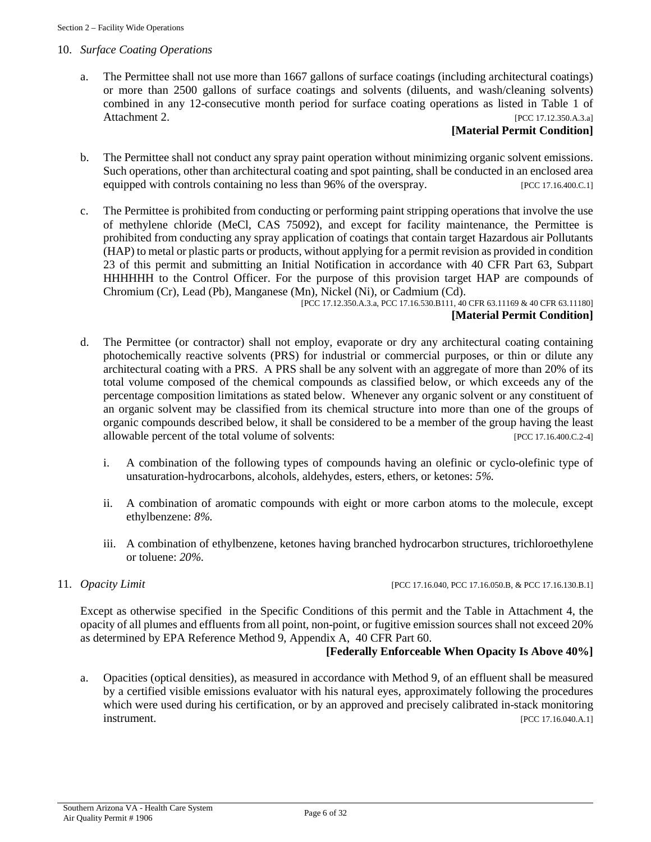#### 10. *Surface Coating Operations*

a. The Permittee shall not use more than 1667 gallons of surface coatings (including architectural coatings) or more than 2500 gallons of surface coatings and solvents (diluents, and wash/cleaning solvents) combined in any 12-consecutive month period for surface coating operations as listed in Table 1 of Attachment 2. [PCC 17.12.350.A.3.a]

#### **[Material Permit Condition]**

- b. The Permittee shall not conduct any spray paint operation without minimizing organic solvent emissions. Such operations, other than architectural coating and spot painting, shall be conducted in an enclosed area equipped with controls containing no less than 96% of the overspray. [PCC 17.16.400.C.1]
- c. The Permittee is prohibited from conducting or performing paint stripping operations that involve the use of methylene chloride (MeCl, CAS 75092), and except for facility maintenance, the Permittee is prohibited from conducting any spray application of coatings that contain target Hazardous air Pollutants (HAP) to metal or plastic parts or products, without applying for a permit revision as provided in condition 23 of this permit and submitting an Initial Notification in accordance with 40 CFR Part 63, Subpart HHHHHH to the Control Officer. For the purpose of this provision target HAP are compounds of Chromium (Cr), Lead (Pb), Manganese (Mn), Nickel (Ni), or Cadmium (Cd).

[PCC 17.12.350.A.3.a, PCC 17.16.530.B111, 40 CFR 63.11169 & 40 CFR 63.11180] **[Material Permit Condition]**

- d. The Permittee (or contractor) shall not employ, evaporate or dry any architectural coating containing photochemically reactive solvents (PRS) for industrial or commercial purposes, or thin or dilute any architectural coating with a PRS. A PRS shall be any solvent with an aggregate of more than 20% of its total volume composed of the chemical compounds as classified below, or which exceeds any of the percentage composition limitations as stated below. Whenever any organic solvent or any constituent of an organic solvent may be classified from its chemical structure into more than one of the groups of organic compounds described below, it shall be considered to be a member of the group having the least allowable percent of the total volume of solvents: [PCC 17.16.400.C.2-4]
	- i. A combination of the following types of compounds having an olefinic or cyclo-olefinic type of unsaturation-hydrocarbons, alcohols, aldehydes, esters, ethers, or ketones: *5%.*
	- ii. A combination of aromatic compounds with eight or more carbon atoms to the molecule, except ethylbenzene: *8%*.
	- iii. A combination of ethylbenzene, ketones having branched hydrocarbon structures, trichloroethylene or toluene: *20%*.
- 

#### 11. *Opacity Limit* [PCC 17.16.040, PCC 17.16.050.B, & PCC 17.16.130.B.1]

Except as otherwise specified in the Specific Conditions of this permit and the Table in Attachment 4, the opacity of all plumes and effluents from all point, non-point, or fugitive emission sources shall not exceed 20% as determined by EPA Reference Method 9, Appendix A, 40 CFR Part 60.

#### **[Federally Enforceable When Opacity Is Above 40%]**

a. Opacities (optical densities), as measured in accordance with Method 9, of an effluent shall be measured by a certified visible emissions evaluator with his natural eyes, approximately following the procedures which were used during his certification, or by an approved and precisely calibrated in-stack monitoring **instrument.** [PCC 17.16.040.A.1]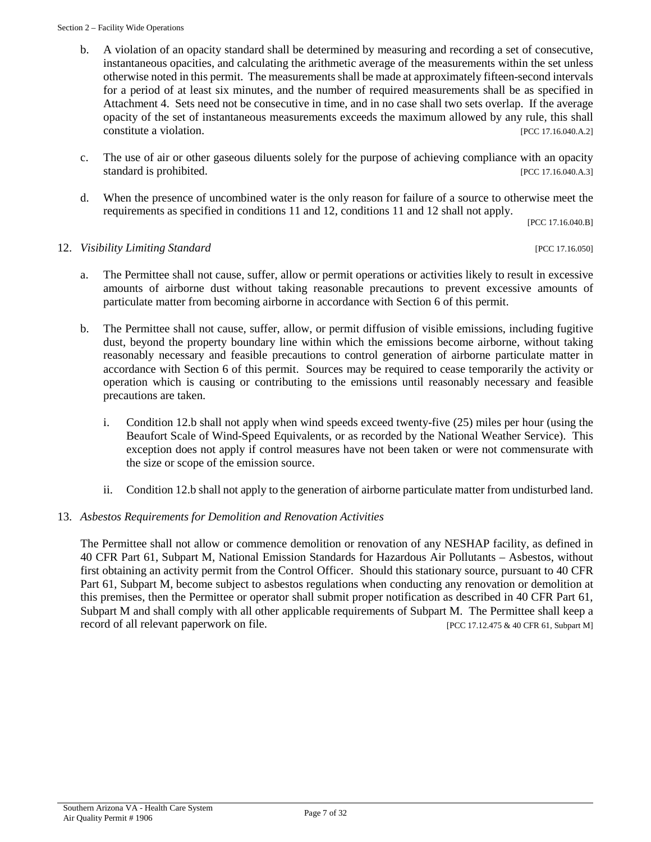#### Section 2 – Facility Wide Operations

- b. A violation of an opacity standard shall be determined by measuring and recording a set of consecutive, instantaneous opacities, and calculating the arithmetic average of the measurements within the set unless otherwise noted in this permit. The measurements shall be made at approximately fifteen-second intervals for a period of at least six minutes, and the number of required measurements shall be as specified in Attachment 4. Sets need not be consecutive in time, and in no case shall two sets overlap. If the average opacity of the set of instantaneous measurements exceeds the maximum allowed by any rule, this shall constitute a violation. [PCC 17.16.040.A.2]
- c. The use of air or other gaseous diluents solely for the purpose of achieving compliance with an opacity standard is prohibited. [PCC 17.16.040.A.3]
- d. When the presence of uncombined water is the only reason for failure of a source to otherwise meet the requirements as specified in conditions 11 and 12, conditions 11 and 12 shall not apply.

[PCC 17.16.040.B]

#### 12. *Visibility Limiting Standard* [PCC 17.16.050]

- a. The Permittee shall not cause, suffer, allow or permit operations or activities likely to result in excessive amounts of airborne dust without taking reasonable precautions to prevent excessive amounts of particulate matter from becoming airborne in accordance with Section 6 of this permit.
- b. The Permittee shall not cause, suffer, allow, or permit diffusion of visible emissions, including fugitive dust, beyond the property boundary line within which the emissions become airborne, without taking reasonably necessary and feasible precautions to control generation of airborne particulate matter in accordance with Section 6 of this permit. Sources may be required to cease temporarily the activity or operation which is causing or contributing to the emissions until reasonably necessary and feasible precautions are taken.
	- i. Condition 12.b shall not apply when wind speeds exceed twenty-five (25) miles per hour (using the Beaufort Scale of Wind-Speed Equivalents, or as recorded by the National Weather Service). This exception does not apply if control measures have not been taken or were not commensurate with the size or scope of the emission source.
	- ii. Condition 12.b shall not apply to the generation of airborne particulate matter from undisturbed land.

### 13. *Asbestos Requirements for Demolition and Renovation Activities*

The Permittee shall not allow or commence demolition or renovation of any NESHAP facility, as defined in 40 CFR Part 61, Subpart M, National Emission Standards for Hazardous Air Pollutants – Asbestos, without first obtaining an activity permit from the Control Officer. Should this stationary source, pursuant to 40 CFR Part 61, Subpart M, become subject to asbestos regulations when conducting any renovation or demolition at this premises, then the Permittee or operator shall submit proper notification as described in 40 CFR Part 61, Subpart M and shall comply with all other applicable requirements of Subpart M. The Permittee shall keep a record of all relevant paperwork on file. [PCC 17.12.475 & 40 CFR 61, Subpart M]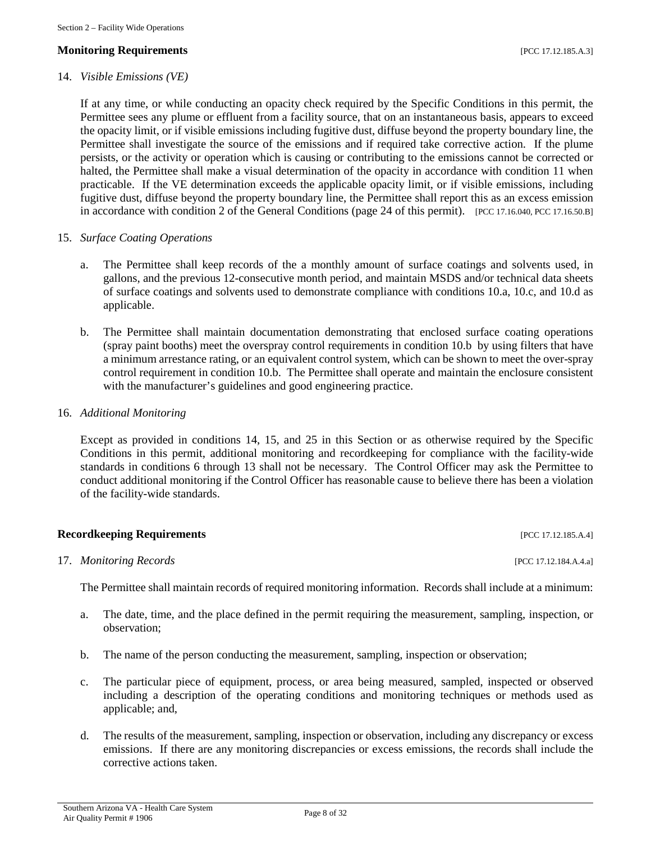#### **Monitoring Requirements and the contract of the contract of the contract of the contract of the contract of the contract of the contract of the contract of the contract of the contract of the contract of the contract of**

#### 14. *Visible Emissions (VE)*

If at any time, or while conducting an opacity check required by the Specific Conditions in this permit, the Permittee sees any plume or effluent from a facility source, that on an instantaneous basis, appears to exceed the opacity limit, or if visible emissions including fugitive dust, diffuse beyond the property boundary line, the Permittee shall investigate the source of the emissions and if required take corrective action. If the plume persists, or the activity or operation which is causing or contributing to the emissions cannot be corrected or halted, the Permittee shall make a visual determination of the opacity in accordance with condition 11 when practicable. If the VE determination exceeds the applicable opacity limit, or if visible emissions, including fugitive dust, diffuse beyond the property boundary line, the Permittee shall report this as an excess emission in accordance with condition 2 of the General Conditions (page 24 of this permit). [PCC 17.16.040, PCC 17.16.50.B]

#### 15. *Surface Coating Operations*

- a. The Permittee shall keep records of the a monthly amount of surface coatings and solvents used, in gallons, and the previous 12-consecutive month period, and maintain MSDS and/or technical data sheets of surface coatings and solvents used to demonstrate compliance with conditions 10.a, 10.c, and 10.d as applicable.
- b. The Permittee shall maintain documentation demonstrating that enclosed surface coating operations (spray paint booths) meet the overspray control requirements in condition 10.b by using filters that have a minimum arrestance rating, or an equivalent control system, which can be shown to meet the over-spray control requirement in condition 10.b. The Permittee shall operate and maintain the enclosure consistent with the manufacturer's guidelines and good engineering practice.

#### 16. *Additional Monitoring*

Except as provided in conditions 14, 15, and 25 in this Section or as otherwise required by the Specific Conditions in this permit, additional monitoring and recordkeeping for compliance with the facility-wide standards in conditions 6 through 13 shall not be necessary. The Control Officer may ask the Permittee to conduct additional monitoring if the Control Officer has reasonable cause to believe there has been a violation of the facility-wide standards.

#### **Recordkeeping Requirements** [PCC 17.12.185.A.4]

17. *Monitoring Records* [PCC 17.12.184.A.4.a]

The Permittee shall maintain records of required monitoring information. Records shall include at a minimum:

- a. The date, time, and the place defined in the permit requiring the measurement, sampling, inspection, or observation;
- b. The name of the person conducting the measurement, sampling, inspection or observation;
- c. The particular piece of equipment, process, or area being measured, sampled, inspected or observed including a description of the operating conditions and monitoring techniques or methods used as applicable; and,
- d. The results of the measurement, sampling, inspection or observation, including any discrepancy or excess emissions. If there are any monitoring discrepancies or excess emissions, the records shall include the corrective actions taken.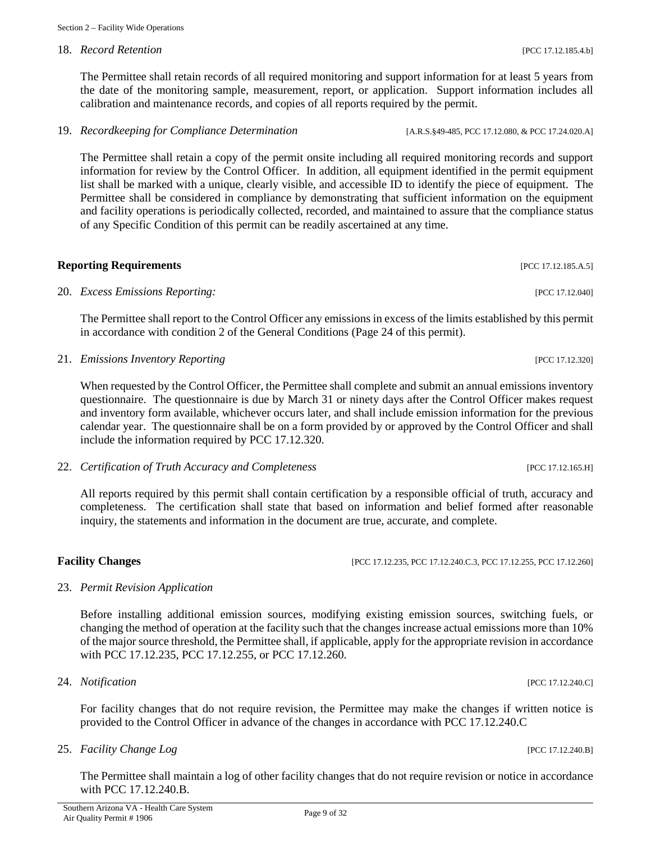### 18. *Record Retention* [PCC 17.12.185.4.b]

The Permittee shall retain records of all required monitoring and support information for at least 5 years from the date of the monitoring sample, measurement, report, or application. Support information includes all calibration and maintenance records, and copies of all reports required by the permit.

19. *Recordkeeping for Compliance Determination* [A.R.S.§49-485, PCC 17.12.080, & PCC 17.24.020.A]

The Permittee shall retain a copy of the permit onsite including all required monitoring records and support information for review by the Control Officer. In addition, all equipment identified in the permit equipment list shall be marked with a unique, clearly visible, and accessible ID to identify the piece of equipment. The Permittee shall be considered in compliance by demonstrating that sufficient information on the equipment and facility operations is periodically collected, recorded, and maintained to assure that the compliance status of any Specific Condition of this permit can be readily ascertained at any time.

**Reporting Requirements** [PCC 17.12.185.A.5] 20. *Excess Emissions Reporting:* [PCC 17.12.040]

The Permittee shall report to the Control Officer any emissions in excess of the limits established by this permit in accordance with condition 2 of the General Conditions (Page 24 of this permit).

21. *Emissions Inventory Reporting* [PCC 17.12.320]

When requested by the Control Officer, the Permittee shall complete and submit an annual emissions inventory questionnaire. The questionnaire is due by March 31 or ninety days after the Control Officer makes request and inventory form available, whichever occurs later, and shall include emission information for the previous calendar year. The questionnaire shall be on a form provided by or approved by the Control Officer and shall include the information required by PCC 17.12.320.

22. *Certification of Truth Accuracy and Completeness* [PCC 17.12.165.H]

All reports required by this permit shall contain certification by a responsible official of truth, accuracy and completeness. The certification shall state that based on information and belief formed after reasonable inquiry, the statements and information in the document are true, accurate, and complete.

#### **Facility Changes** [PCC 17.12.235, PCC 17.12.240.C.3, PCC 17.12.255, PCC 17.12.260]

#### 23. *Permit Revision Application*

Before installing additional emission sources, modifying existing emission sources, switching fuels, or changing the method of operation at the facility such that the changes increase actual emissions more than 10% of the major source threshold, the Permittee shall, if applicable, apply for the appropriate revision in accordance with PCC 17.12.235, PCC 17.12.255, or PCC 17.12.260.

24. *Notification* [PCC 17.12.240.C]

For facility changes that do not require revision, the Permittee may make the changes if written notice is provided to the Control Officer in advance of the changes in accordance with PCC 17.12.240.C

25. *Facility Change Log* [PCC 17.12.240.B]

The Permittee shall maintain a log of other facility changes that do not require revision or notice in accordance with PCC 17.12.240.B.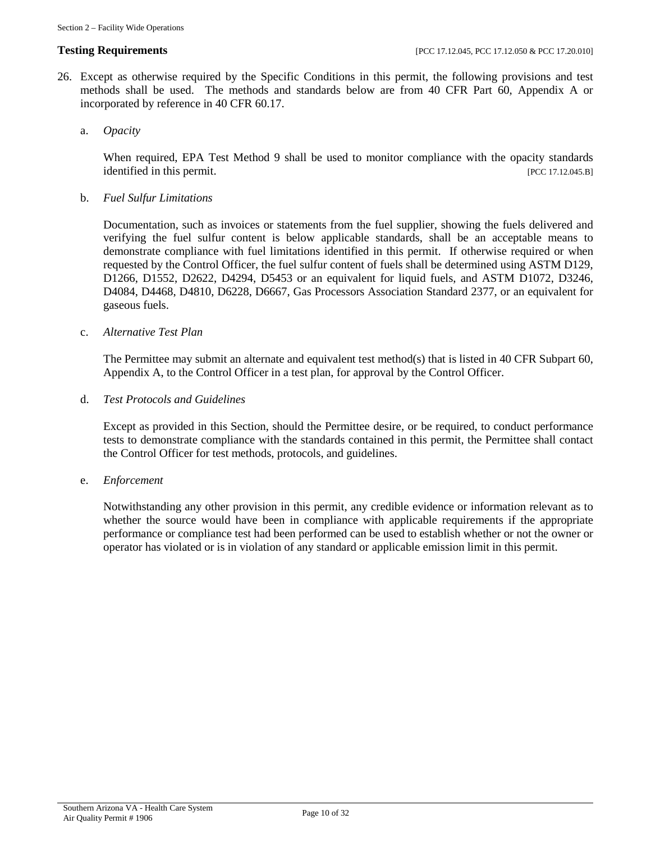- 26. Except as otherwise required by the Specific Conditions in this permit, the following provisions and test methods shall be used. The methods and standards below are from 40 CFR Part 60, Appendix A or incorporated by reference in 40 CFR 60.17.
	- a. *Opacity*

When required, EPA Test Method 9 shall be used to monitor compliance with the opacity standards identified in this permit. [PCC 17.12.045.B]

b. *Fuel Sulfur Limitations*

Documentation, such as invoices or statements from the fuel supplier, showing the fuels delivered and verifying the fuel sulfur content is below applicable standards, shall be an acceptable means to demonstrate compliance with fuel limitations identified in this permit. If otherwise required or when requested by the Control Officer, the fuel sulfur content of fuels shall be determined using ASTM D129, D1266, D1552, D2622, D4294, D5453 or an equivalent for liquid fuels, and ASTM D1072, D3246, D4084, D4468, D4810, D6228, D6667, Gas Processors Association Standard 2377, or an equivalent for gaseous fuels.

#### c. *Alternative Test Plan*

The Permittee may submit an alternate and equivalent test method(s) that is listed in 40 CFR Subpart 60, Appendix A, to the Control Officer in a test plan, for approval by the Control Officer.

d. *Test Protocols and Guidelines*

Except as provided in this Section, should the Permittee desire, or be required, to conduct performance tests to demonstrate compliance with the standards contained in this permit, the Permittee shall contact the Control Officer for test methods, protocols, and guidelines.

e. *Enforcement*

Notwithstanding any other provision in this permit, any credible evidence or information relevant as to whether the source would have been in compliance with applicable requirements if the appropriate performance or compliance test had been performed can be used to establish whether or not the owner or operator has violated or is in violation of any standard or applicable emission limit in this permit.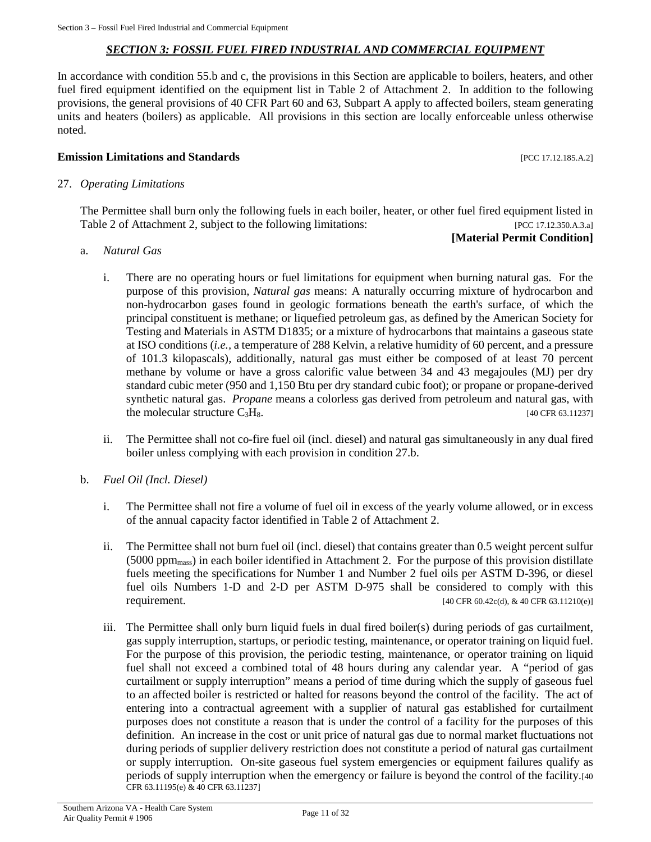#### *SECTION 3: FOSSIL FUEL FIRED INDUSTRIAL AND COMMERCIAL EQUIPMENT*

In accordance with condition 55.b and c, the provisions in this Section are applicable to boilers, heaters, and other fuel fired equipment identified on the equipment list in Table 2 of Attachment 2. In addition to the following provisions, the general provisions of 40 CFR Part 60 and 63, Subpart A apply to affected boilers, steam generating units and heaters (boilers) as applicable. All provisions in this section are locally enforceable unless otherwise noted.

#### **Emission Limitations and Standards Emission Limitations and Standards Exercísion Exercísion Exercísion Exercísion**

#### 27. *Operating Limitations*

The Permittee shall burn only the following fuels in each boiler, heater, or other fuel fired equipment listed in Table 2 of Attachment 2, subject to the following limitations: [PCC 17.12.350.A.3.a]

# **[Material Permit Condition]**

- a. *Natural Gas*
	- i. There are no operating hours or fuel limitations for equipment when burning natural gas. For the purpose of this provision, *Natural gas* means: A naturally occurring mixture of hydrocarbon and non-hydrocarbon gases found in geologic formations beneath the earth's surface, of which the principal constituent is methane; or liquefied petroleum gas, as defined by the American Society for Testing and Materials in ASTM D1835; or a mixture of hydrocarbons that maintains a gaseous state at ISO conditions (*i.e.,* a temperature of 288 Kelvin, a relative humidity of 60 percent, and a pressure of 101.3 kilopascals), additionally, natural gas must either be composed of at least 70 percent methane by volume or have a gross calorific value between 34 and 43 megajoules (MJ) per dry standard cubic meter (950 and 1,150 Btu per dry standard cubic foot); or propane or propane-derived synthetic natural gas. *Propane* means a colorless gas derived from petroleum and natural gas, with the molecular structure  $C_3H_8$ . [40 CFR 63.11237]
	- ii. The Permittee shall not co-fire fuel oil (incl. diesel) and natural gas simultaneously in any dual fired boiler unless complying with each provision in condition 27.b.
- b. *Fuel Oil (Incl. Diesel)*
	- i. The Permittee shall not fire a volume of fuel oil in excess of the yearly volume allowed, or in excess of the annual capacity factor identified in Table 2 of Attachment 2.
	- ii. The Permittee shall not burn fuel oil (incl. diesel) that contains greater than 0.5 weight percent sulfur (5000 ppmmass) in each boiler identified in Attachment 2. For the purpose of this provision distillate fuels meeting the specifications for Number 1 and Number 2 fuel oils per ASTM D-396, or diesel fuel oils Numbers 1-D and 2-D per ASTM D-975 shall be considered to comply with this requirement. [40 CFR 60.42c(d), & 40 CFR 63.11210(e)]
	- iii. The Permittee shall only burn liquid fuels in dual fired boiler(s) during periods of gas curtailment, gas supply interruption, startups, or periodic testing, maintenance, or operator training on liquid fuel. For the purpose of this provision, the periodic testing, maintenance, or operator training on liquid fuel shall not exceed a combined total of 48 hours during any calendar year. A "period of gas curtailment or supply interruption" means a period of time during which the supply of gaseous fuel to an affected boiler is restricted or halted for reasons beyond the control of the facility. The act of entering into a contractual agreement with a supplier of natural gas established for curtailment purposes does not constitute a reason that is under the control of a facility for the purposes of this definition. An increase in the cost or unit price of natural gas due to normal market fluctuations not during periods of supplier delivery restriction does not constitute a period of natural gas curtailment or supply interruption. On-site gaseous fuel system emergencies or equipment failures qualify as periods of supply interruption when the emergency or failure is beyond the control of the facility.[40 CFR 63.11195(e) & 40 CFR 63.11237]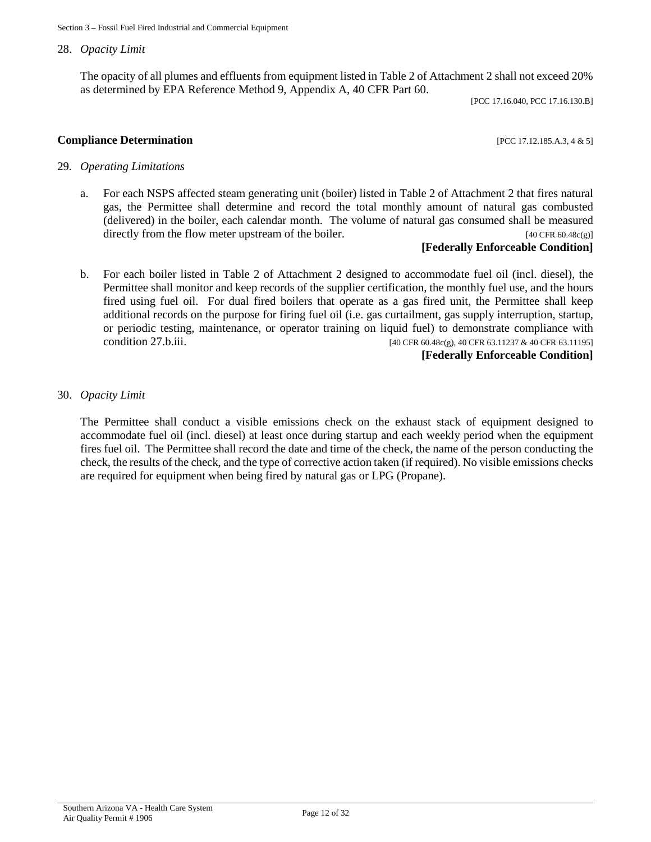#### 28. *Opacity Limit*

The opacity of all plumes and effluents from equipment listed in Table 2 of Attachment 2 shall not exceed 20% as determined by EPA Reference Method 9, Appendix A, 40 CFR Part 60.

[PCC 17.16.040, PCC 17.16.130.B]

**Compliance Determination Compliance Determination** 

#### 29*. Operating Limitations*

a. For each NSPS affected steam generating unit (boiler) listed in Table 2 of Attachment 2 that fires natural gas, the Permittee shall determine and record the total monthly amount of natural gas combusted (delivered) in the boiler, each calendar month. The volume of natural gas consumed shall be measured directly from the flow meter upstream of the boiler. [40 CFR 60.48c(g)]

#### **[Federally Enforceable Condition]**

b. For each boiler listed in Table 2 of Attachment 2 designed to accommodate fuel oil (incl. diesel), the Permittee shall monitor and keep records of the supplier certification, the monthly fuel use, and the hours fired using fuel oil. For dual fired boilers that operate as a gas fired unit, the Permittee shall keep additional records on the purpose for firing fuel oil (i.e. gas curtailment, gas supply interruption, startup, or periodic testing, maintenance, or operator training on liquid fuel) to demonstrate compliance with condition 27.b.iii.  $[40 \text{ CFR } 60.48c(g), 40 \text{ CFR } 63.11237 \& 40 \text{ CFR } 63.11195]$ 

#### **[Federally Enforceable Condition]**

#### 30. *Opacity Limit*

The Permittee shall conduct a visible emissions check on the exhaust stack of equipment designed to accommodate fuel oil (incl. diesel) at least once during startup and each weekly period when the equipment fires fuel oil. The Permittee shall record the date and time of the check, the name of the person conducting the check, the results of the check, and the type of corrective action taken (if required). No visible emissions checks are required for equipment when being fired by natural gas or LPG (Propane).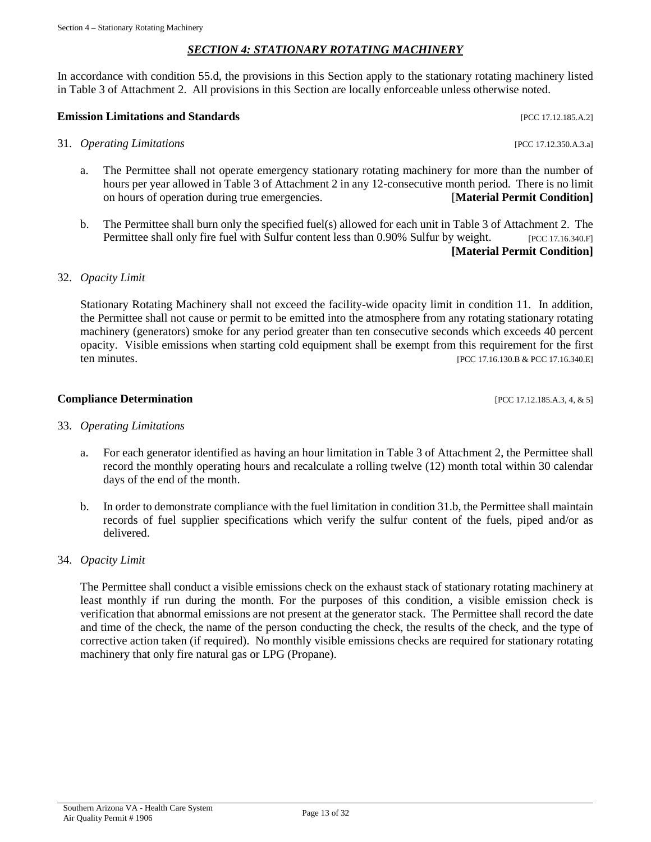# *SECTION 4: STATIONARY ROTATING MACHINERY*

In accordance with condition 55.d, the provisions in this Section apply to the stationary rotating machinery listed in Table 3 of Attachment 2. All provisions in this Section are locally enforceable unless otherwise noted.

# **Emission Limitations and Standards** [PCC 17.12.185.A.2]

- 31. *Operating Limitations* [PCC 17.12.350.A.3.a]
	- a. The Permittee shall not operate emergency stationary rotating machinery for more than the number of hours per year allowed in Table 3 of Attachment 2 in any 12-consecutive month period. There is no limit on hours of operation during true emergencies. [**Material Permit Condition]**
	- b. The Permittee shall burn only the specified fuel(s) allowed for each unit in Table 3 of Attachment 2. The Permittee shall only fire fuel with Sulfur content less than 0.90% Sulfur by weight. [PCC 17.16.340.F] **[Material Permit Condition]**

### 32. *Opacity Limit*

Stationary Rotating Machinery shall not exceed the facility-wide opacity limit in condition 11. In addition, the Permittee shall not cause or permit to be emitted into the atmosphere from any rotating stationary rotating machinery (generators) smoke for any period greater than ten consecutive seconds which exceeds 40 percent opacity. Visible emissions when starting cold equipment shall be exempt from this requirement for the first ten minutes. [PCC 17.16.130.B & PCC 17.16.340.E]

#### **Compliance Determination Compliance Determination**

33. *Operating Limitations*

- a. For each generator identified as having an hour limitation in Table 3 of Attachment 2, the Permittee shall record the monthly operating hours and recalculate a rolling twelve (12) month total within 30 calendar days of the end of the month.
- b. In order to demonstrate compliance with the fuel limitation in condition 31.b, the Permittee shall maintain records of fuel supplier specifications which verify the sulfur content of the fuels, piped and/or as delivered.
- 34. *Opacity Limit*

The Permittee shall conduct a visible emissions check on the exhaust stack of stationary rotating machinery at least monthly if run during the month. For the purposes of this condition, a visible emission check is verification that abnormal emissions are not present at the generator stack. The Permittee shall record the date and time of the check, the name of the person conducting the check, the results of the check, and the type of corrective action taken (if required). No monthly visible emissions checks are required for stationary rotating machinery that only fire natural gas or LPG (Propane).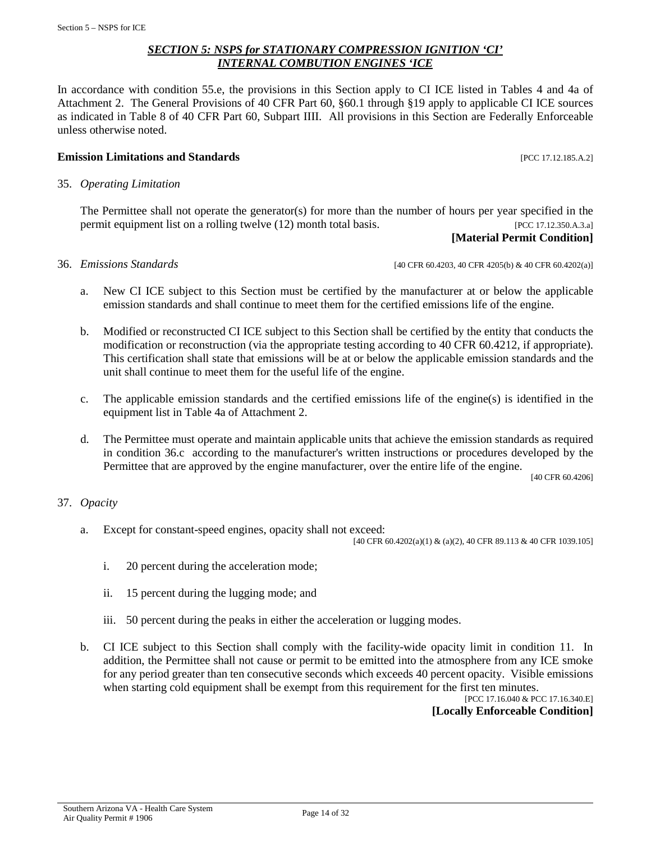#### *SECTION 5: NSPS for STATIONARY COMPRESSION IGNITION 'CI' INTERNAL COMBUTION ENGINES 'ICE*

In accordance with condition 55.e, the provisions in this Section apply to CI ICE listed in Tables 4 and 4a of Attachment 2. The General Provisions of 40 CFR Part 60, §60.1 through §19 apply to applicable CI ICE sources as indicated in Table 8 of 40 CFR Part 60, Subpart IIII. All provisions in this Section are Federally Enforceable unless otherwise noted.

#### **Emission Limitations and Standards by the contract of the contract of the contract of the contract of the contract of the contract of the contract of the contract of the contract of the contract of the contract of the c**

35. *Operating Limitation*

The Permittee shall not operate the generator(s) for more than the number of hours per year specified in the permit equipment list on a rolling twelve (12) month total basis. [PCC 17.12.350.A.3.a]

# **[Material Permit Condition]**

36. *Emissions Standards* [40 CFR 60.4203, 40 CFR 4205(b) & 40 CFR 60.4202(a)]

- a. New CI ICE subject to this Section must be certified by the manufacturer at or below the applicable emission standards and shall continue to meet them for the certified emissions life of the engine.
- b. Modified or reconstructed CI ICE subject to this Section shall be certified by the entity that conducts the modification or reconstruction (via the appropriate testing according to 40 CFR 60.4212, if appropriate). This certification shall state that emissions will be at or below the applicable emission standards and the unit shall continue to meet them for the useful life of the engine.
- c. The applicable emission standards and the certified emissions life of the engine(s) is identified in the equipment list in Table 4a of Attachment 2.
- d. The Permittee must operate and maintain applicable units that achieve the emission standards as required in condition 36.c according to the manufacturer's written instructions or procedures developed by the Permittee that are approved by the engine manufacturer, over the entire life of the engine.

[40 CFR 60.4206]

#### 37. *Opacity*

a. Except for constant-speed engines, opacity shall not exceed:

[40 CFR 60.4202(a)(1) & (a)(2), 40 CFR 89.113 & 40 CFR 1039.105]

- i. 20 percent during the acceleration mode;
- ii. 15 percent during the lugging mode; and
- iii. 50 percent during the peaks in either the acceleration or lugging modes.
- b. CI ICE subject to this Section shall comply with the facility-wide opacity limit in condition 11. In addition, the Permittee shall not cause or permit to be emitted into the atmosphere from any ICE smoke for any period greater than ten consecutive seconds which exceeds 40 percent opacity. Visible emissions when starting cold equipment shall be exempt from this requirement for the first ten minutes.

[PCC 17.16.040 & PCC 17.16.340.E] **[Locally Enforceable Condition]**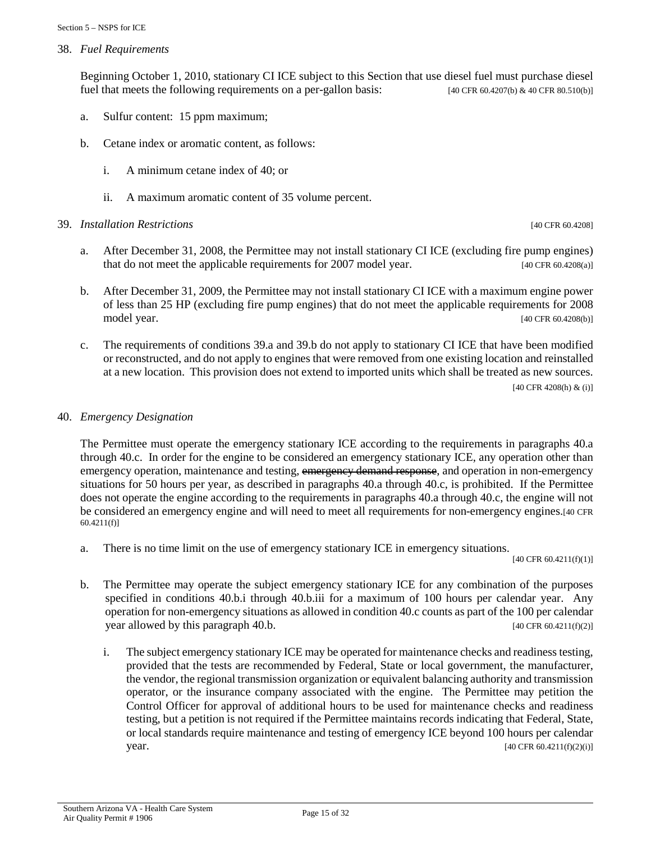38. *Fuel Requirements*

Beginning October 1, 2010, stationary CI ICE subject to this Section that use diesel fuel must purchase diesel fuel that meets the following requirements on a per-gallon basis:  $[40 \text{ CFR } 60.4207 \text{ (b)} \& 40 \text{ CFR } 80.510 \text{ (b)}]$ 

- a. Sulfur content: 15 ppm maximum;
- b. Cetane index or aromatic content, as follows:
	- i. A minimum cetane index of 40; or
	- ii. A maximum aromatic content of 35 volume percent.
- 39. *Installation Restrictions* [40 CFR 60.4208]

- a. After December 31, 2008, the Permittee may not install stationary CI ICE (excluding fire pump engines) that do not meet the applicable requirements for 2007 model year. [40 CFR 60.4208(a)]
- b. After December 31, 2009, the Permittee may not install stationary CI ICE with a maximum engine power of less than 25 HP (excluding fire pump engines) that do not meet the applicable requirements for 2008 model year. [40 CFR 60.4208(b)] [40 CFR 60.4208(b)]
- c. The requirements of conditions 39.a and 39.b do not apply to stationary CI ICE that have been modified or reconstructed, and do not apply to engines that were removed from one existing location and reinstalled at a new location. This provision does not extend to imported units which shall be treated as new sources.

[40 CFR 4208(h) & (i)]

#### 40. *Emergency Designation*

The Permittee must operate the emergency stationary ICE according to the requirements in paragraphs 40.a through 40.c. In order for the engine to be considered an emergency stationary ICE, any operation other than emergency operation, maintenance and testing, emergency demand response, and operation in non-emergency situations for 50 hours per year, as described in paragraphs 40.a through 40.c, is prohibited. If the Permittee does not operate the engine according to the requirements in paragraphs 40.a through 40.c, the engine will not be considered an emergency engine and will need to meet all requirements for non-emergency engines.[40 CFR 60.4211(f)]

a. There is no time limit on the use of emergency stationary ICE in emergency situations.

[40 CFR 60.4211(f)(1)]

- b. The Permittee may operate the subject emergency stationary ICE for any combination of the purposes specified in conditions 40.b.i through 40.b.iii for a maximum of 100 hours per calendar year. Any operation for non-emergency situations as allowed in condition 40.c counts as part of the 100 per calendar year allowed by this paragraph 40.b. [40 CFR 60.4211(f)(2)]
	- i. The subject emergency stationary ICE may be operated for maintenance checks and readiness testing, provided that the tests are recommended by Federal, State or local government, the manufacturer, the vendor, the regional transmission organization or equivalent balancing authority and transmission operator, or the insurance company associated with the engine. The Permittee may petition the Control Officer for approval of additional hours to be used for maintenance checks and readiness testing, but a petition is not required if the Permittee maintains records indicating that Federal, State, or local standards require maintenance and testing of emergency ICE beyond 100 hours per calendar **year.** [40 CFR 60.4211(f)(2)(i)]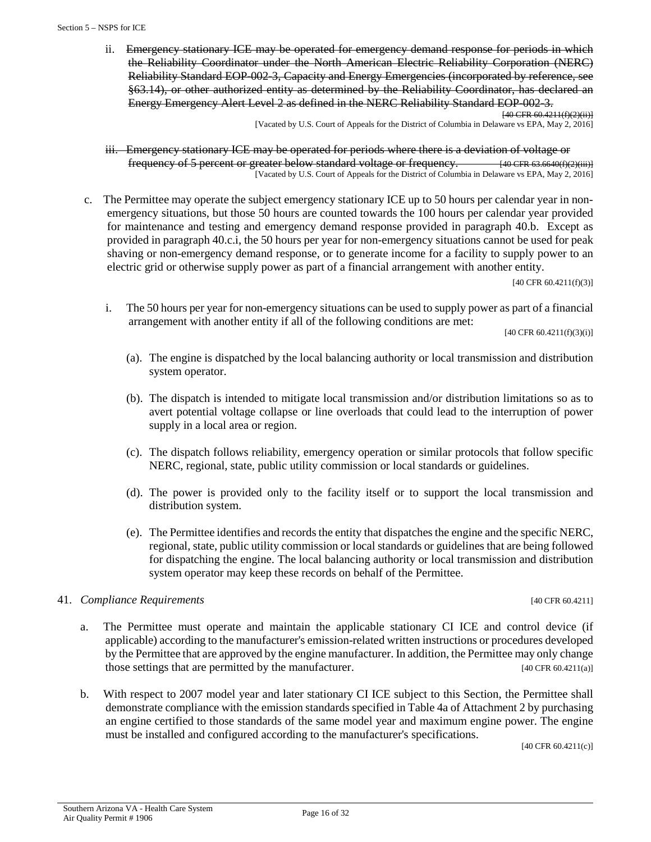ii. Emergency stationary ICE may be operated for emergency demand response for periods in which the Reliability Coordinator under the North American Electric Reliability Corporation (NERC) Reliability Standard EOP-002-3, Capacity and Energy Emergencies (incorporated by reference, see §63.14), or other authorized entity as determined by the Reliability Coordinator, has declared an Energy Emergency Alert Level 2 as defined in the NERC Reliability Standard EOP-002-3. [40 CFR 60.4211(f)(2)(ii)]

[Vacated by U.S. Court of Appeals for the District of Columbia in Delaware vs EPA, May 2, 2016]

iii. Emergency stationary ICE may be operated for periods where there is a deviation of voltage or frequency of 5 percent or greater below standard voltage or frequency.  $\frac{40 \text{ CFR } 63.6640 \text{ (f)}(2) \text{ (iii)} }{40 \text{ CFR } 63.6640 \text{ (f)}(2) \text{ (iii)} }$ [Vacated by U.S. Court of Appeals for the District of Columbia in Delaware vs EPA, May 2, 2016]

c. The Permittee may operate the subject emergency stationary ICE up to 50 hours per calendar year in nonemergency situations, but those 50 hours are counted towards the 100 hours per calendar year provided for maintenance and testing and emergency demand response provided in paragraph 40.b. Except as provided in paragraph 40.c.i, the 50 hours per year for non-emergency situations cannot be used for peak shaving or non-emergency demand response, or to generate income for a facility to supply power to an electric grid or otherwise supply power as part of a financial arrangement with another entity.

[40 CFR 60.4211(f)(3)]

i. The 50 hours per year for non-emergency situations can be used to supply power as part of a financial arrangement with another entity if all of the following conditions are met:

[40 CFR 60.4211(f)(3)(i)]

- (a). The engine is dispatched by the local balancing authority or local transmission and distribution system operator.
- (b). The dispatch is intended to mitigate local transmission and/or distribution limitations so as to avert potential voltage collapse or line overloads that could lead to the interruption of power supply in a local area or region.
- (c). The dispatch follows reliability, emergency operation or similar protocols that follow specific NERC, regional, state, public utility commission or local standards or guidelines.
- (d). The power is provided only to the facility itself or to support the local transmission and distribution system.
- (e). The Permittee identifies and records the entity that dispatches the engine and the specific NERC, regional, state, public utility commission or local standards or guidelines that are being followed for dispatching the engine. The local balancing authority or local transmission and distribution system operator may keep these records on behalf of the Permittee.

#### 41. *Compliance Requirements* [40 CFR 60.4211]

- a. The Permittee must operate and maintain the applicable stationary CI ICE and control device (if applicable) according to the manufacturer's emission-related written instructions or procedures developed by the Permittee that are approved by the engine manufacturer. In addition, the Permittee may only change those settings that are permitted by the manufacturer. [40 CFR 60.4211(a)]
- b. With respect to 2007 model year and later stationary CI ICE subject to this Section, the Permittee shall demonstrate compliance with the emission standards specified in Table 4a of Attachment 2 by purchasing an engine certified to those standards of the same model year and maximum engine power. The engine must be installed and configured according to the manufacturer's specifications.

[40 CFR 60.4211(c)]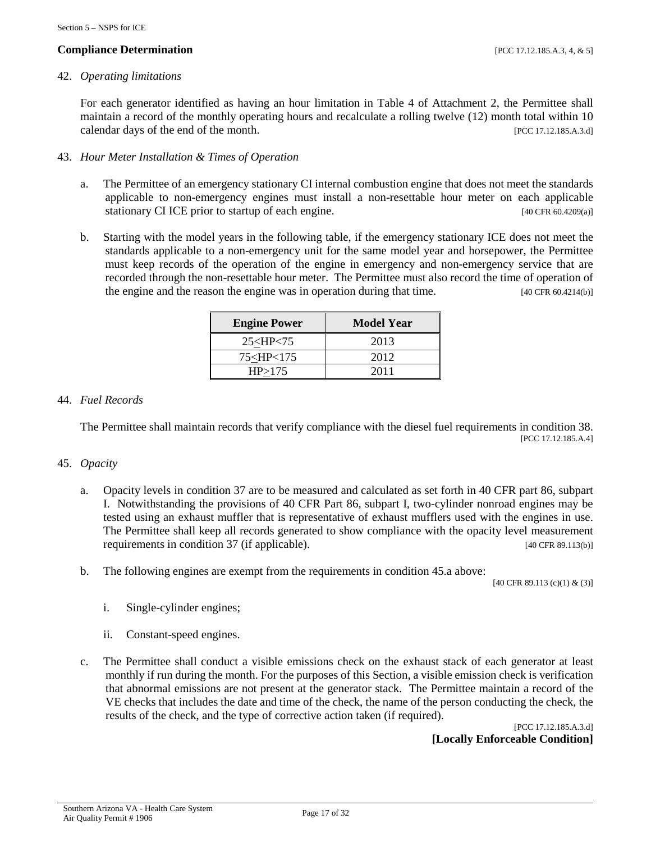#### 42. *Operating limitations*

For each generator identified as having an hour limitation in Table 4 of Attachment 2, the Permittee shall maintain a record of the monthly operating hours and recalculate a rolling twelve (12) month total within 10 calendar days of the end of the month. [PCC 17.12.185.A.3.d]

#### 43. *Hour Meter Installation & Times of Operation*

- a. The Permittee of an emergency stationary CI internal combustion engine that does not meet the standards applicable to non-emergency engines must install a non-resettable hour meter on each applicable stationary CI ICE prior to startup of each engine. [40 CFR 60.4209(a)]
- b. Starting with the model years in the following table, if the emergency stationary ICE does not meet the standards applicable to a non-emergency unit for the same model year and horsepower, the Permittee must keep records of the operation of the engine in emergency and non-emergency service that are recorded through the non-resettable hour meter. The Permittee must also record the time of operation of the engine and the reason the engine was in operation during that time. [40 CFR 60.4214(b)]

| <b>Engine Power</b>                       | Model Year |
|-------------------------------------------|------------|
| 25 < HP < 75                              | 2013       |
| 75 <hp<175< td=""><td>2012</td></hp<175<> | 2012       |
| HP > 175                                  | 2011       |

#### 44. *Fuel Records*

The Permittee shall maintain records that verify compliance with the diesel fuel requirements in condition 38. [PCC 17.12.185.A.4]

#### 45. *Opacity*

- a. Opacity levels in condition 37 are to be measured and calculated as set forth in 40 CFR part 86, subpart I. Notwithstanding the provisions of 40 CFR Part 86, subpart I, two-cylinder nonroad engines may be tested using an exhaust muffler that is representative of exhaust mufflers used with the engines in use. The Permittee shall keep all records generated to show compliance with the opacity level measurement requirements in condition 37 (if applicable). [40 CFR 89.113(b)]
- b. The following engines are exempt from the requirements in condition 45.a above:

[40 CFR 89.113 (c)(1) & (3)]

- i. Single-cylinder engines;
- ii. Constant-speed engines.
- c. The Permittee shall conduct a visible emissions check on the exhaust stack of each generator at least monthly if run during the month. For the purposes of this Section, a visible emission check is verification that abnormal emissions are not present at the generator stack. The Permittee maintain a record of the VE checks that includes the date and time of the check, the name of the person conducting the check, the results of the check, and the type of corrective action taken (if required).

[PCC 17.12.185.A.3.d] **[Locally Enforceable Condition]**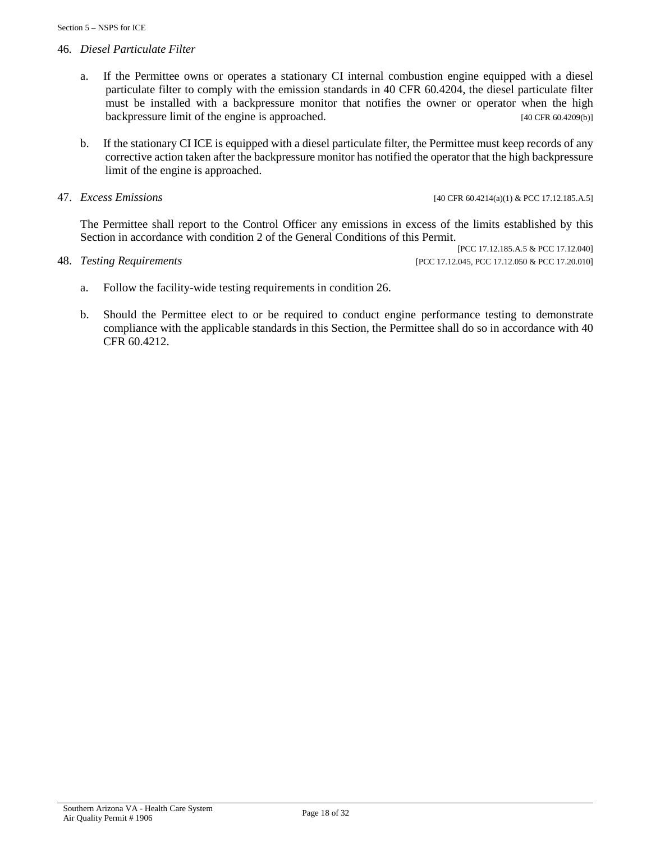#### 46*. Diesel Particulate Filter*

- a. If the Permittee owns or operates a stationary CI internal combustion engine equipped with a diesel particulate filter to comply with the emission standards in 40 CFR 60.4204, the diesel particulate filter must be installed with a backpressure monitor that notifies the owner or operator when the high backpressure limit of the engine is approached. [40 CFR 60.4209(b)]
- b. If the stationary CI ICE is equipped with a diesel particulate filter, the Permittee must keep records of any corrective action taken after the backpressure monitor has notified the operator that the high backpressure limit of the engine is approached.

47. *Excess Emissions* [40 CFR 60.4214(a)(1) & PCC 17.12.185.A.5]

The Permittee shall report to the Control Officer any emissions in excess of the limits established by this Section in accordance with condition 2 of the General Conditions of this Permit.

[PCC 17.12.185.A.5 & PCC 17.12.040] 48. *Testing Requirements* [PCC 17.12.045, PCC 17.12.050 & PCC 17.20.010]

- a. Follow the facility-wide testing requirements in condition 26.
- b. Should the Permittee elect to or be required to conduct engine performance testing to demonstrate compliance with the applicable standards in this Section, the Permittee shall do so in accordance with 40 CFR 60.4212.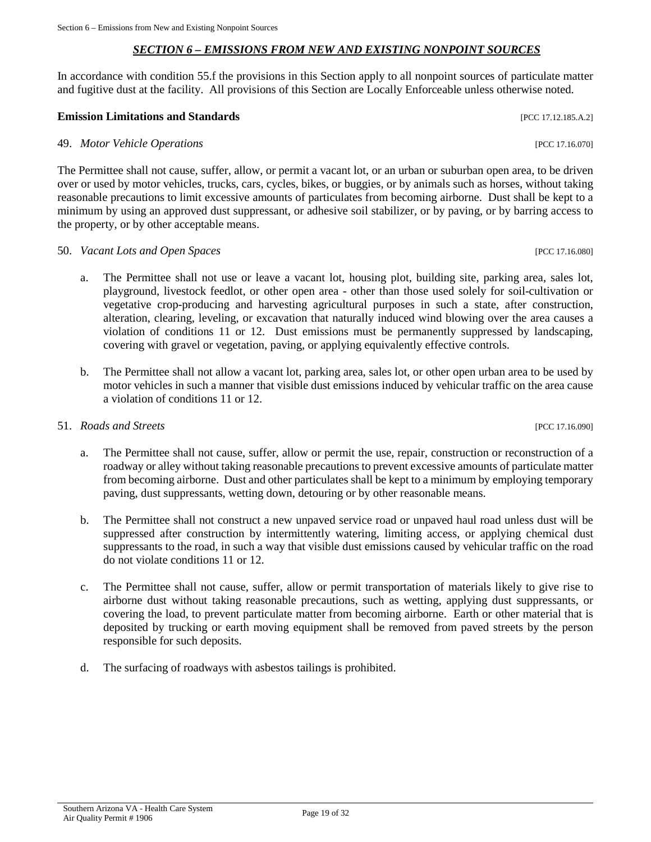#### *SECTION 6 – EMISSIONS FROM NEW AND EXISTING NONPOINT SOURCES*

In accordance with condition 55.f the provisions in this Section apply to all nonpoint sources of particulate matter and fugitive dust at the facility. All provisions of this Section are Locally Enforceable unless otherwise noted.

#### **Emission Limitations and Standards** [PCC 17.12.185.A.2]

#### 49. *Motor Vehicle Operations* [PCC 17.16.070]

The Permittee shall not cause, suffer, allow, or permit a vacant lot, or an urban or suburban open area, to be driven over or used by motor vehicles, trucks, cars, cycles, bikes, or buggies, or by animals such as horses, without taking reasonable precautions to limit excessive amounts of particulates from becoming airborne. Dust shall be kept to a minimum by using an approved dust suppressant, or adhesive soil stabilizer, or by paving, or by barring access to the property, or by other acceptable means.

#### 50. *Vacant Lots and Open Spaces* [PCC 17.16.080]

- a. The Permittee shall not use or leave a vacant lot, housing plot, building site, parking area, sales lot, playground, livestock feedlot, or other open area - other than those used solely for soil-cultivation or vegetative crop-producing and harvesting agricultural purposes in such a state, after construction, alteration, clearing, leveling, or excavation that naturally induced wind blowing over the area causes a violation of conditions 11 or 12. Dust emissions must be permanently suppressed by landscaping, covering with gravel or vegetation, paving, or applying equivalently effective controls.
- b. The Permittee shall not allow a vacant lot, parking area, sales lot, or other open urban area to be used by motor vehicles in such a manner that visible dust emissions induced by vehicular traffic on the area cause a violation of conditions 11 or 12.

#### 51. *Roads and Streets* [PCC 17.16.090]

- a. The Permittee shall not cause, suffer, allow or permit the use, repair, construction or reconstruction of a roadway or alley without taking reasonable precautions to prevent excessive amounts of particulate matter from becoming airborne. Dust and other particulates shall be kept to a minimum by employing temporary paving, dust suppressants, wetting down, detouring or by other reasonable means.
- b. The Permittee shall not construct a new unpaved service road or unpaved haul road unless dust will be suppressed after construction by intermittently watering, limiting access, or applying chemical dust suppressants to the road, in such a way that visible dust emissions caused by vehicular traffic on the road do not violate conditions 11 or 12.
- c. The Permittee shall not cause, suffer, allow or permit transportation of materials likely to give rise to airborne dust without taking reasonable precautions, such as wetting, applying dust suppressants, or covering the load, to prevent particulate matter from becoming airborne. Earth or other material that is deposited by trucking or earth moving equipment shall be removed from paved streets by the person responsible for such deposits.
- d. The surfacing of roadways with asbestos tailings is prohibited.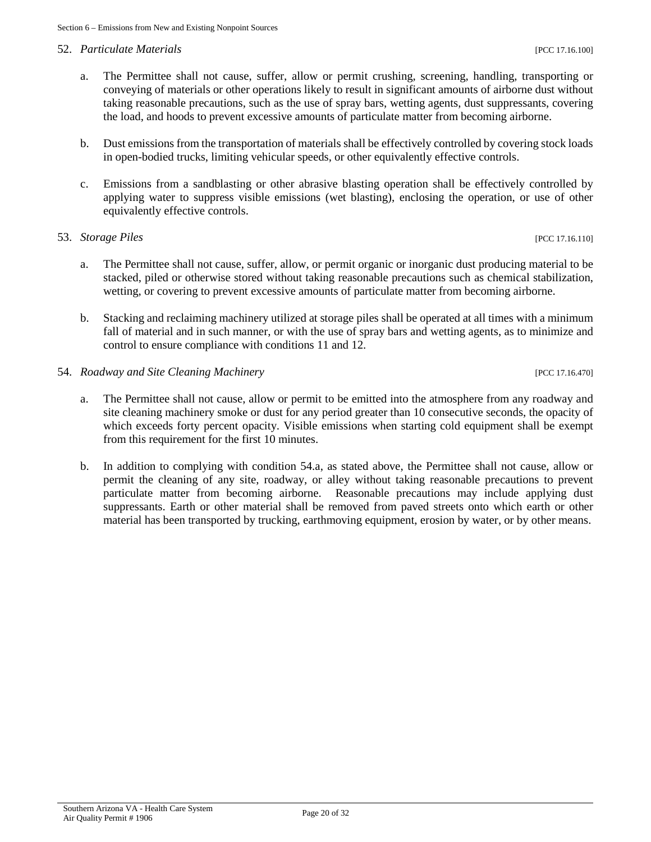#### 52. *Particulate Materials* [PCC 17.16.100]

- a. The Permittee shall not cause, suffer, allow or permit crushing, screening, handling, transporting or conveying of materials or other operations likely to result in significant amounts of airborne dust without taking reasonable precautions, such as the use of spray bars, wetting agents, dust suppressants, covering the load, and hoods to prevent excessive amounts of particulate matter from becoming airborne.
- b. Dust emissions from the transportation of materials shall be effectively controlled by covering stock loads in open-bodied trucks, limiting vehicular speeds, or other equivalently effective controls.
- c. Emissions from a sandblasting or other abrasive blasting operation shall be effectively controlled by applying water to suppress visible emissions (wet blasting), enclosing the operation, or use of other equivalently effective controls.

#### 53. *Storage Piles* [PCC 17.16.110]

- a. The Permittee shall not cause, suffer, allow, or permit organic or inorganic dust producing material to be stacked, piled or otherwise stored without taking reasonable precautions such as chemical stabilization, wetting, or covering to prevent excessive amounts of particulate matter from becoming airborne.
- b. Stacking and reclaiming machinery utilized at storage piles shall be operated at all times with a minimum fall of material and in such manner, or with the use of spray bars and wetting agents, as to minimize and control to ensure compliance with conditions 11 and 12.
- 54. *Roadway and Site Cleaning Machinery* [PCC 17.16.470]
	- a. The Permittee shall not cause, allow or permit to be emitted into the atmosphere from any roadway and site cleaning machinery smoke or dust for any period greater than 10 consecutive seconds, the opacity of which exceeds forty percent opacity. Visible emissions when starting cold equipment shall be exempt from this requirement for the first 10 minutes.
	- b. In addition to complying with condition 54.a, as stated above, the Permittee shall not cause, allow or permit the cleaning of any site, roadway, or alley without taking reasonable precautions to prevent particulate matter from becoming airborne. Reasonable precautions may include applying dust suppressants. Earth or other material shall be removed from paved streets onto which earth or other material has been transported by trucking, earthmoving equipment, erosion by water, or by other means.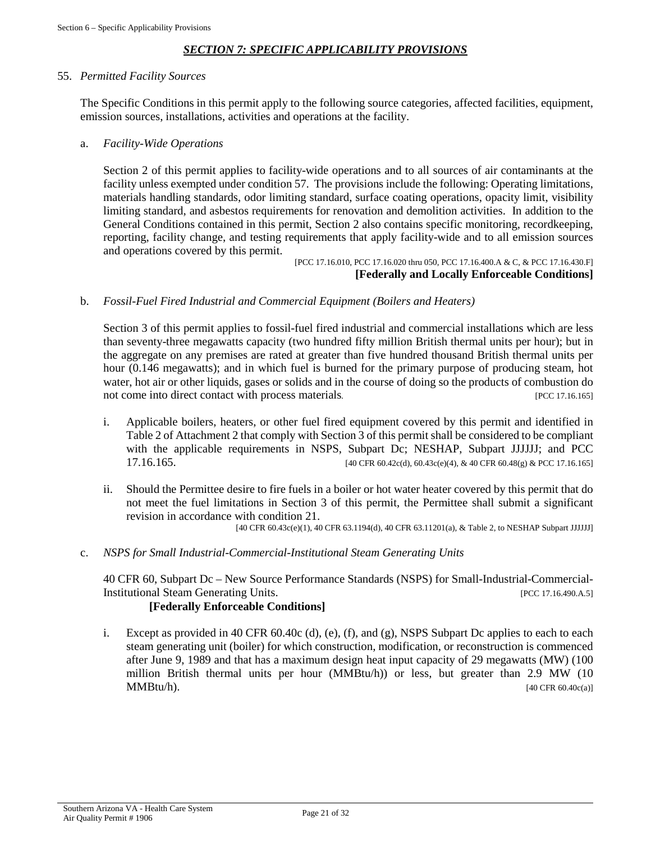### *SECTION 7: SPECIFIC APPLICABILITY PROVISIONS*

#### 55. *Permitted Facility Sources*

The Specific Conditions in this permit apply to the following source categories, affected facilities, equipment, emission sources, installations, activities and operations at the facility.

#### a. *Facility-Wide Operations*

Section 2 of this permit applies to facility-wide operations and to all sources of air contaminants at the facility unless exempted under condition 57. The provisions include the following: Operating limitations, materials handling standards, odor limiting standard, surface coating operations, opacity limit, visibility limiting standard, and asbestos requirements for renovation and demolition activities. In addition to the General Conditions contained in this permit, Section 2 also contains specific monitoring, recordkeeping, reporting, facility change, and testing requirements that apply facility-wide and to all emission sources and operations covered by this permit.

[PCC 17.16.010, PCC 17.16.020 thru 050, PCC 17.16.400.A & C, & PCC 17.16.430.F] **[Federally and Locally Enforceable Conditions]**

#### b. *Fossil-Fuel Fired Industrial and Commercial Equipment (Boilers and Heaters)*

Section 3 of this permit applies to fossil-fuel fired industrial and commercial installations which are less than seventy-three megawatts capacity (two hundred fifty million British thermal units per hour); but in the aggregate on any premises are rated at greater than five hundred thousand British thermal units per hour (0.146 megawatts); and in which fuel is burned for the primary purpose of producing steam, hot water, hot air or other liquids, gases or solids and in the course of doing so the products of combustion do not come into direct contact with process materials. [PCC 17.16.165]

- i. Applicable boilers, heaters, or other fuel fired equipment covered by this permit and identified in Table 2 of Attachment 2 that comply with Section 3 of this permit shall be considered to be compliant with the applicable requirements in NSPS, Subpart Dc; NESHAP, Subpart JJJJJJ; and PCC 17.16.165. [40 CFR 60.42c(d), 60.43c(e)(4), & 40 CFR 60.48(g) & PCC 17.16.165]
- ii. Should the Permittee desire to fire fuels in a boiler or hot water heater covered by this permit that do not meet the fuel limitations in Section 3 of this permit, the Permittee shall submit a significant revision in accordance with condition 21.

[40 CFR 60.43c(e)(1), 40 CFR 63.1194(d), 40 CFR 63.11201(a), & Table 2, to NESHAP Subpart JJJJJJ]

#### c. *NSPS for Small Industrial-Commercial-Institutional Steam Generating Units*

40 CFR 60, Subpart Dc – New Source Performance Standards (NSPS) for Small-Industrial-Commercial-Institutional Steam Generating Units. [PCC 17.16.490.A.5]

#### **[Federally Enforceable Conditions]**

i. Except as provided in 40 CFR 60.40c (d), (e), (f), and (g), NSPS Subpart Dc applies to each to each steam generating unit (boiler) for which construction, modification, or reconstruction is commenced after June 9, 1989 and that has a maximum design heat input capacity of 29 megawatts (MW) (100 million British thermal units per hour (MMBtu/h)) or less, but greater than 2.9 MW (10  $MMBtu/h$ . [40 CFR 60.40c(a)]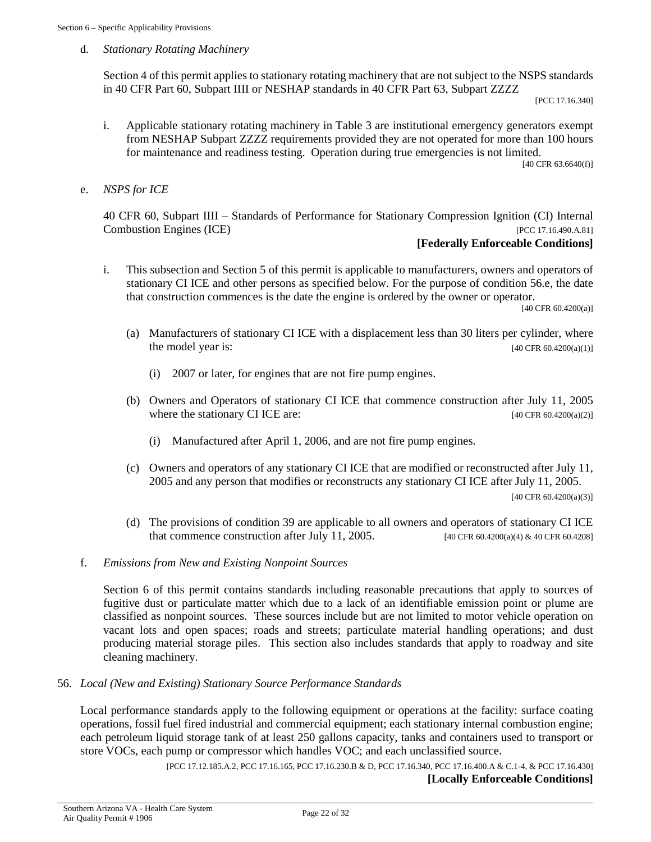d. *Stationary Rotating Machinery*

Section 4 of this permit applies to stationary rotating machinery that are not subject to the NSPS standards in 40 CFR Part 60, Subpart IIII or NESHAP standards in 40 CFR Part 63, Subpart ZZZZ

[PCC 17.16.340]

i. Applicable stationary rotating machinery in Table 3 are institutional emergency generators exempt from NESHAP Subpart ZZZZ requirements provided they are not operated for more than 100 hours for maintenance and readiness testing. Operation during true emergencies is not limited.

[40 CFR 63.6640(f)]

e. *NSPS for ICE*

40 CFR 60, Subpart IIII – Standards of Performance for Stationary Compression Ignition (CI) Internal Combustion Engines (ICE) [PCC 17.16.490.A.81]

#### **[Federally Enforceable Conditions]**

i. This subsection and Section 5 of this permit is applicable to manufacturers, owners and operators of stationary CI ICE and other persons as specified below. For the purpose of condition 56.e, the date that construction commences is the date the engine is ordered by the owner or operator.

[40 CFR 60.4200(a)]

- (a) Manufacturers of stationary CI ICE with a displacement less than 30 liters per cylinder, where the model year is:  $[40 \text{ CFR } 60.4200(a)(1)]$ 
	- (i) 2007 or later, for engines that are not fire pump engines.
- (b) Owners and Operators of stationary CI ICE that commence construction after July 11, 2005 where the stationary CI ICE are:  $[40 \text{ CFR } 60.4200(a/2)]$ 
	- (i) Manufactured after April 1, 2006, and are not fire pump engines.
- (c) Owners and operators of any stationary CI ICE that are modified or reconstructed after July 11, 2005 and any person that modifies or reconstructs any stationary CI ICE after July 11, 2005.

 $[40 \text{ CFR } 60.4200(a)(3)]$ 

- (d) The provisions of condition 39 are applicable to all owners and operators of stationary CI ICE that commence construction after July 11, 2005. [40 CFR 60.4200(a)(4) & 40 CFR 60.4208]
- f. *Emissions from New and Existing Nonpoint Sources*

Section 6 of this permit contains standards including reasonable precautions that apply to sources of fugitive dust or particulate matter which due to a lack of an identifiable emission point or plume are classified as nonpoint sources. These sources include but are not limited to motor vehicle operation on vacant lots and open spaces; roads and streets; particulate material handling operations; and dust producing material storage piles. This section also includes standards that apply to roadway and site cleaning machinery.

#### 56. *Local (New and Existing) Stationary Source Performance Standards*

Local performance standards apply to the following equipment or operations at the facility: surface coating operations, fossil fuel fired industrial and commercial equipment; each stationary internal combustion engine; each petroleum liquid storage tank of at least 250 gallons capacity, tanks and containers used to transport or store VOCs, each pump or compressor which handles VOC; and each unclassified source.

> [PCC 17.12.185.A.2, PCC 17.16.165, PCC 17.16.230.B & D, PCC 17.16.340, PCC 17.16.400.A & C.1-4, & PCC 17.16.430] **[Locally Enforceable Conditions]**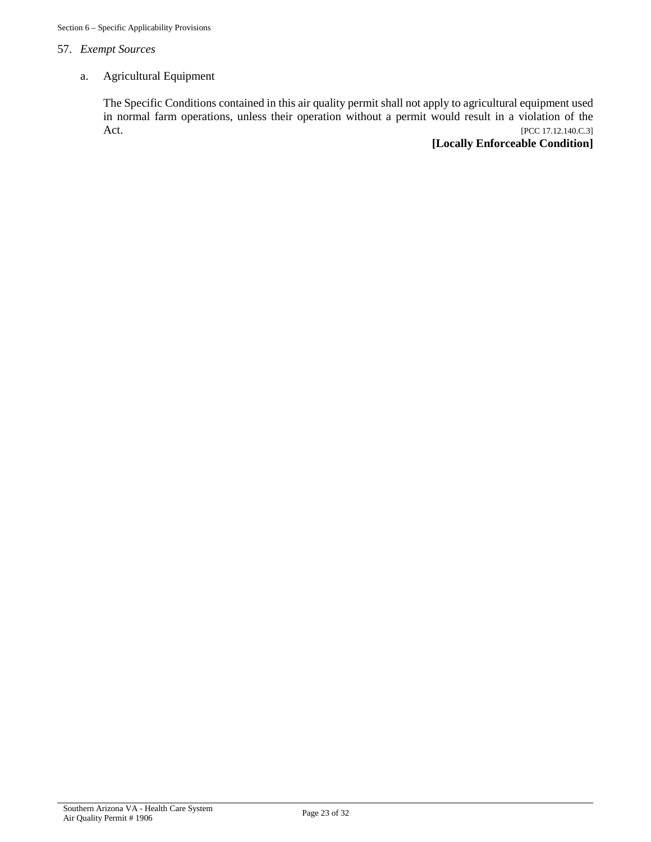## 57. *Exempt Sources*

#### a. Agricultural Equipment

The Specific Conditions contained in this air quality permit shall not apply to agricultural equipment used in normal farm operations, unless their operation without a permit would result in a violation of the Act. [PCC 17.12.140.C.3]

#### **[Locally Enforceable Condition]**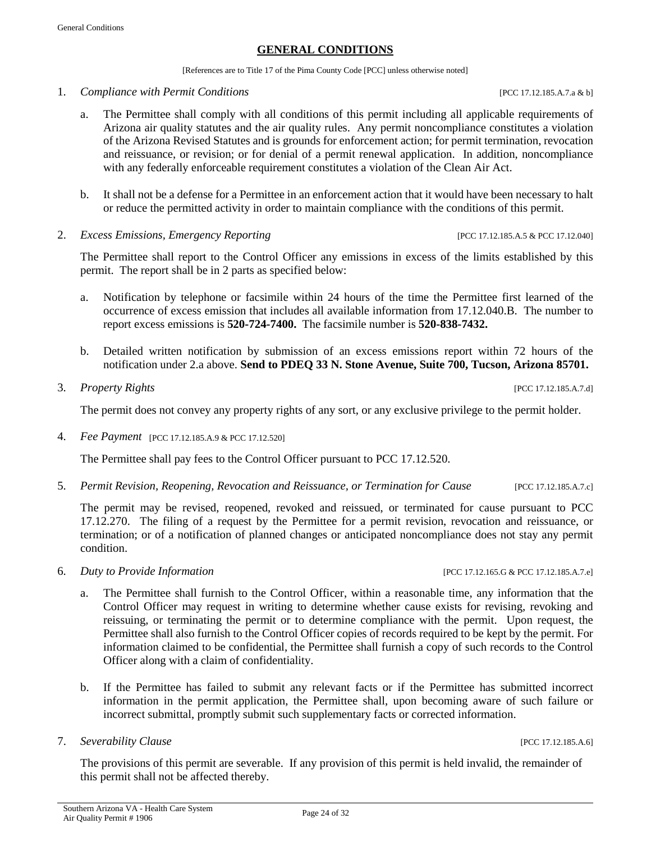#### **GENERAL CONDITIONS**

[References are to Title 17 of the Pima County Code [PCC] unless otherwise noted]

- 1. *Compliance with Permit Conditions* [PCC 17.12.185.A.7.a & b]
	- a. The Permittee shall comply with all conditions of this permit including all applicable requirements of Arizona air quality statutes and the air quality rules. Any permit noncompliance constitutes a violation of the Arizona Revised Statutes and is grounds for enforcement action; for permit termination, revocation and reissuance, or revision; or for denial of a permit renewal application. In addition, noncompliance with any federally enforceable requirement constitutes a violation of the Clean Air Act.
	- b. It shall not be a defense for a Permittee in an enforcement action that it would have been necessary to halt or reduce the permitted activity in order to maintain compliance with the conditions of this permit.
- 2. *Excess Emissions, Emergency Reporting* [PCC 17.12.185.A.5 & PCC 17.12.040]

The Permittee shall report to the Control Officer any emissions in excess of the limits established by this permit. The report shall be in 2 parts as specified below:

- a. Notification by telephone or facsimile within 24 hours of the time the Permittee first learned of the occurrence of excess emission that includes all available information from 17.12.040.B. The number to report excess emissions is **520-724-7400.** The facsimile number is **520-838-7432.**
- b. Detailed written notification by submission of an excess emissions report within 72 hours of the notification under 2.a above. **Send to PDEQ 33 N. Stone Avenue, Suite 700, Tucson, Arizona 85701.**
- 3. *Property Rights* [PCC 17.12.185.A.7.d]

The permit does not convey any property rights of any sort, or any exclusive privilege to the permit holder.

4. *Fee Payment* [PCC 17.12.185.A.9 & PCC 17.12.520]

The Permittee shall pay fees to the Control Officer pursuant to PCC 17.12.520.

5. *Permit Revision, Reopening, Revocation and Reissuance, or Termination for Cause* [PCC 17.12.185.A.7.c]

The permit may be revised, reopened, revoked and reissued, or terminated for cause pursuant to PCC 17.12.270. The filing of a request by the Permittee for a permit revision, revocation and reissuance, or termination; or of a notification of planned changes or anticipated noncompliance does not stay any permit condition.

- 6. *Duty to Provide Information* [PCC 17.12.165.G & PCC 17.12.185.A.7.e]
	- a. The Permittee shall furnish to the Control Officer, within a reasonable time, any information that the Control Officer may request in writing to determine whether cause exists for revising, revoking and reissuing, or terminating the permit or to determine compliance with the permit. Upon request, the Permittee shall also furnish to the Control Officer copies of records required to be kept by the permit. For information claimed to be confidential, the Permittee shall furnish a copy of such records to the Control Officer along with a claim of confidentiality.
	- b. If the Permittee has failed to submit any relevant facts or if the Permittee has submitted incorrect information in the permit application, the Permittee shall, upon becoming aware of such failure or incorrect submittal, promptly submit such supplementary facts or corrected information.
- 7. *Severability Clause* [PCC 17.12.185.A.6]

The provisions of this permit are severable. If any provision of this permit is held invalid, the remainder of this permit shall not be affected thereby.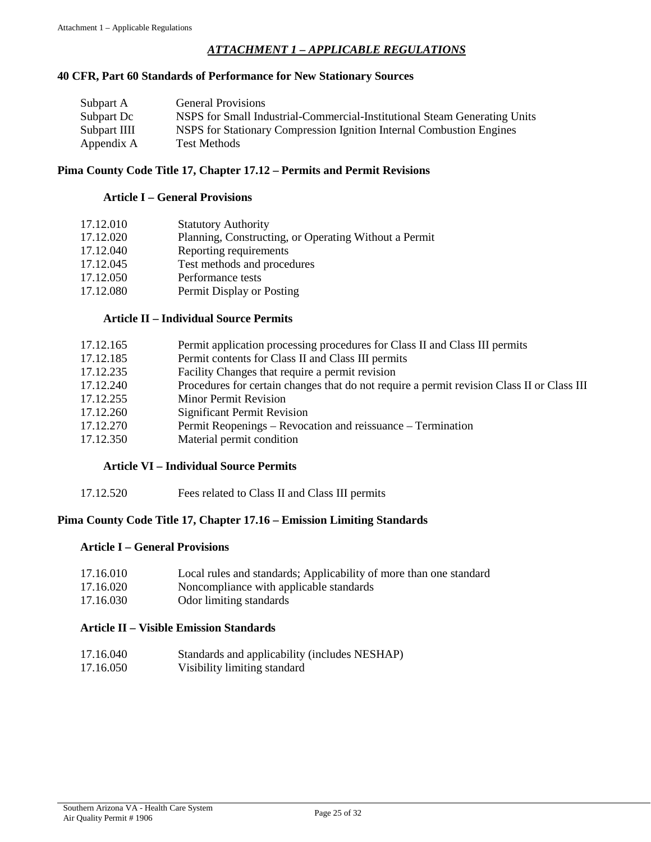#### *ATTACHMENT 1 – APPLICABLE REGULATIONS*

#### **40 CFR, Part 60 Standards of Performance for New Stationary Sources**

| Subpart A    | <b>General Provisions</b>                                                 |
|--------------|---------------------------------------------------------------------------|
| Subpart Dc   | NSPS for Small Industrial-Commercial-Institutional Steam Generating Units |
| Subpart IIII | NSPS for Stationary Compression Ignition Internal Combustion Engines      |
| Appendix A   | <b>Test Methods</b>                                                       |

#### **Pima County Code Title 17, Chapter 17.12 – Permits and Permit Revisions**

#### **Article I – General Provisions**

| 17.12.010 | <b>Statutory Authority</b>                            |
|-----------|-------------------------------------------------------|
| 17.12.020 | Planning, Constructing, or Operating Without a Permit |
| 17.12.040 | Reporting requirements                                |
| 17.12.045 | Test methods and procedures                           |
| 17.12.050 | Performance tests                                     |
| 17.12.080 | Permit Display or Posting                             |

#### **Article II – Individual Source Permits**

| 17.12.165 | Permit application processing procedures for Class II and Class III permits                |
|-----------|--------------------------------------------------------------------------------------------|
| 17.12.185 | Permit contents for Class II and Class III permits                                         |
| 17.12.235 | Facility Changes that require a permit revision                                            |
| 17.12.240 | Procedures for certain changes that do not require a permit revision Class II or Class III |
| 17.12.255 | <b>Minor Permit Revision</b>                                                               |
| 17.12.260 | <b>Significant Permit Revision</b>                                                         |
| 17.12.270 | Permit Reopenings – Revocation and reissuance – Termination                                |
| 17.12.350 | Material permit condition                                                                  |
|           |                                                                                            |

#### **Article VI – Individual Source Permits**

17.12.520 Fees related to Class II and Class III permits

#### **Pima County Code Title 17, Chapter 17.16 – Emission Limiting Standards**

#### **Article I – General Provisions**

- 17.16.010 Local rules and standards; Applicability of more than one standard
- 17.16.020 Noncompliance with applicable standards
- 17.16.030 Odor limiting standards

#### **Article II – Visible Emission Standards**

- 17.16.040 Standards and applicability (includes NESHAP)
- 17.16.050 Visibility limiting standard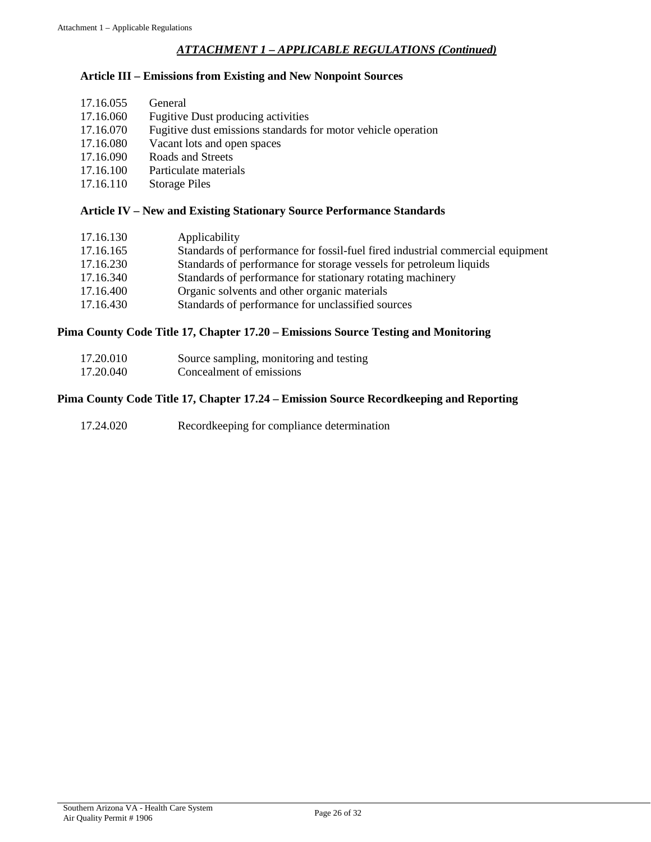#### *ATTACHMENT 1 – APPLICABLE REGULATIONS (Continued)*

#### **Article III – Emissions from Existing and New Nonpoint Sources**

- 17.16.060 Fugitive Dust producing activities<br>17.16.070 Fugitive dust emissions standards i
- Fugitive dust emissions standards for motor vehicle operation
- 17.16.080 Vacant lots and open spaces
- 17.16.090 Roads and Streets
- 17.16.100 Particulate materials
- 17.16.110 Storage Piles

#### **Article IV – New and Existing Stationary Source Performance Standards**

| 17.16.130 | Applicability                                                                  |
|-----------|--------------------------------------------------------------------------------|
| 17.16.165 | Standards of performance for fossil-fuel fired industrial commercial equipment |
| 17.16.230 | Standards of performance for storage vessels for petroleum liquids             |
| 17.16.340 | Standards of performance for stationary rotating machinery                     |
| 17.16.400 | Organic solvents and other organic materials                                   |
| 17.16.430 | Standards of performance for unclassified sources                              |
|           |                                                                                |

#### **Pima County Code Title 17, Chapter 17.20 – Emissions Source Testing and Monitoring**

| 17.20.010 | Source sampling, monitoring and testing |
|-----------|-----------------------------------------|
| 17.20.040 | Concealment of emissions                |

#### **Pima County Code Title 17, Chapter 17.24 – Emission Source Recordkeeping and Reporting**

17.24.020 Recordkeeping for compliance determination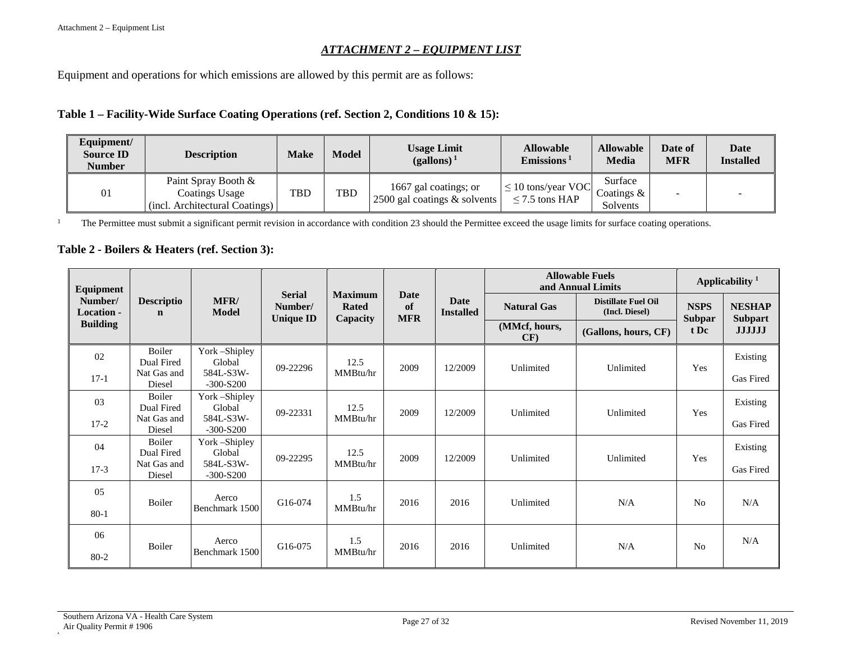#### *ATTACHMENT 2 – EQUIPMENT LIST*

Equipment and operations for which emissions are allowed by this permit are as follows:

#### **Table 1 – Facility-Wide Surface Coating Operations (ref. Section 2, Conditions 10 & 15):**

| Equipment/<br><b>Source ID</b><br>Number | <b>Description</b>                                                      |            | Model | <b>Usage Limit</b><br>$(gallons)^1$                      | <b>Allowable</b><br>Emissions <sup>1</sup>     | <b>Allowable</b><br>Media            | Date of<br><b>MFR</b> | Date<br><b>Installed</b> |
|------------------------------------------|-------------------------------------------------------------------------|------------|-------|----------------------------------------------------------|------------------------------------------------|--------------------------------------|-----------------------|--------------------------|
| 01                                       | Paint Spray Booth &<br>Coatings Usage<br>(incl. Architectural Coatings) | <b>TBD</b> | TBD   | 1667 gal coatings; or<br>2500 gal coatings $\&$ solvents | $\leq 10$ tons/year VOC<br>$\leq$ 7.5 tons HAP | Surface<br>Coatings $\&$<br>Solvents |                       |                          |

<sup>1</sup> The Permittee must submit a significant permit revision in accordance with condition 23 should the Permittee exceed the usage limits for surface coating operations.

#### **Table 2 - Boilers & Heaters (ref. Section 3):**

| Equipment                                       |                                  | <b>MFR/</b><br>Model     |                          |                                            |                          | Date<br><b>Installed</b> | <b>Allowable Fuels</b><br>and Annual Limits | Applicability <sup>1</sup>                   |                                      |                                 |
|-------------------------------------------------|----------------------------------|--------------------------|--------------------------|--------------------------------------------|--------------------------|--------------------------|---------------------------------------------|----------------------------------------------|--------------------------------------|---------------------------------|
| Number/<br><b>Location -</b><br><b>Building</b> | <b>Descriptio</b><br>$\mathbf n$ |                          | <b>Serial</b><br>Number/ | <b>Maximum</b><br><b>Rated</b><br>Capacity | Date<br>of<br><b>MFR</b> |                          | <b>Natural Gas</b>                          | <b>Distillate Fuel Oil</b><br>(Incl. Diesel) | <b>NSPS</b><br><b>Subpar</b><br>t Dc | <b>NESHAP</b><br><b>Subpart</b> |
|                                                 |                                  |                          | <b>Unique ID</b>         |                                            |                          |                          | (MMcf, hours,<br>CF                         | (Gallons, hours, CF)                         |                                      | <b>JJJJJJ</b>                   |
| 02                                              | Boiler<br>Dual Fired             | York-Shipley<br>Global   |                          | 12.5                                       |                          |                          |                                             |                                              |                                      | Existing                        |
| $17-1$                                          | Nat Gas and<br>Diesel            | 584L-S3W-<br>$-300-S200$ | 09-22296                 | MMBtu/hr                                   | 2009                     | 12/2009                  | Unlimited                                   | Unlimited                                    | Yes                                  | Gas Fired                       |
| 03                                              | <b>Boiler</b><br>Dual Fired      | York-Shipley<br>Global   |                          | 12.5                                       |                          |                          |                                             |                                              |                                      | Existing                        |
| $17-2$                                          | Nat Gas and<br>Diesel            | 584L-S3W-<br>$-300-S200$ | 09-22331                 | MMBtu/hr                                   | 2009                     | 12/2009                  | Unlimited                                   | Unlimited                                    | Yes                                  | Gas Fired                       |
| 04                                              | <b>Boiler</b><br>Dual Fired      | York – Shipley<br>Global |                          | 12.5                                       |                          |                          | 12/2009<br>Unlimited                        | Unlimited                                    | Yes                                  | Existing                        |
| $17-3$                                          | Nat Gas and<br>Diesel            | 584L-S3W-<br>$-300-S200$ | 09-22295                 | MMBtu/hr                                   | 2009                     |                          |                                             |                                              |                                      | Gas Fired                       |
| 05                                              | Boiler                           | Aerco                    | G16-074                  | 1.5                                        | 2016                     | 2016                     | Unlimited                                   | N/A                                          | N <sub>o</sub>                       | N/A                             |
| $80-1$                                          |                                  | Benchmark 1500           |                          | MMBtu/hr                                   |                          |                          |                                             |                                              |                                      |                                 |
| 06                                              | <b>Boiler</b>                    | Aerco                    | G16-075                  | 1.5                                        | 2016                     | 2016                     | Unlimited                                   | N/A                                          | N <sub>0</sub>                       | N/A                             |
| $80 - 2$                                        |                                  | Benchmark 1500           |                          |                                            | MMBtu/hr                 |                          |                                             |                                              |                                      |                                 |

A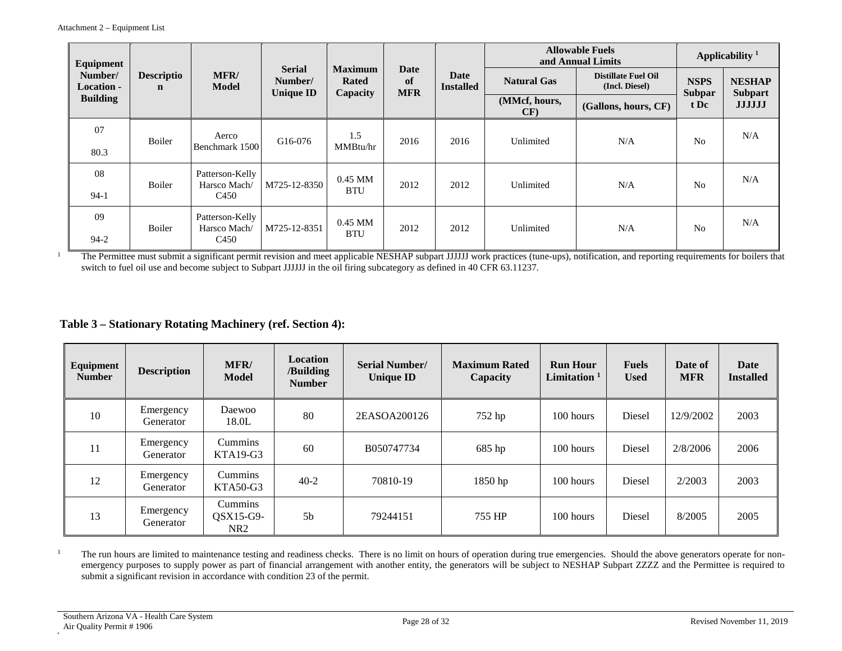| Equipment                                       | <b>Descriptio</b><br>$\mathbf n$ | <b>MFR/</b><br><b>Model</b>     |                                              | <b>Maximum</b><br>Rated<br>Capacity | Date<br>of<br><b>MFR</b> |                          | <b>Allowable Fuels</b><br>and Annual Limits | Applicability <sup>1</sup>                   |                                      |                                                  |
|-------------------------------------------------|----------------------------------|---------------------------------|----------------------------------------------|-------------------------------------|--------------------------|--------------------------|---------------------------------------------|----------------------------------------------|--------------------------------------|--------------------------------------------------|
| Number/<br><b>Location -</b><br><b>Building</b> |                                  |                                 | <b>Serial</b><br>Number/<br><b>Unique ID</b> |                                     |                          | Date<br><b>Installed</b> | <b>Natural Gas</b>                          | <b>Distillate Fuel Oil</b><br>(Incl. Diesel) | <b>NSPS</b><br><b>Subpar</b><br>t Dc | <b>NESHAP</b><br><b>Subpart</b><br><b>JJJJJJ</b> |
|                                                 |                                  |                                 |                                              |                                     |                          |                          | (MMcf, hours,<br>CF)                        | (Gallons, hours, CF)                         |                                      |                                                  |
| 07                                              | Boiler                           | Aerco                           | G16-076                                      | 1.5                                 | 2016                     | 2016                     | Unlimited                                   | N/A                                          | N <sub>0</sub>                       | N/A                                              |
| 80.3                                            |                                  | Benchmark 1500                  |                                              | MMBtu/hr                            |                          |                          |                                             |                                              |                                      |                                                  |
| 08                                              | Boiler                           | Patterson-Kelly<br>Harsco Mach/ | M725-12-8350                                 | $0.45$ MM                           | 2012                     | 2012                     | Unlimited                                   | N/A                                          | No                                   | N/A                                              |
| $94-1$                                          |                                  | C <sub>450</sub>                |                                              | <b>BTU</b>                          |                          |                          |                                             |                                              |                                      |                                                  |
| 09                                              | Boiler                           | Patterson-Kelly<br>Harsco Mach/ | M725-12-8351                                 | $0.45$ MM                           | 2012                     | 2012                     | Unlimited                                   | N/A                                          | N <sub>0</sub>                       | N/A                                              |
| $94-2$                                          |                                  | C <sub>450</sub>                |                                              | <b>BTU</b>                          |                          |                          |                                             |                                              |                                      |                                                  |

<sup>1</sup> The Permittee must submit a significant permit revision and meet applicable NESHAP subpart JJJJJJ work practices (tune-ups), notification, and reporting requirements for boilers that switch to fuel oil use and become subject to Subpart JJJJJJ in the oil firing subcategory as defined in 40 CFR 63.11237.

#### **Table 3 – Stationary Rotating Machinery (ref. Section 4):**

| Equipment<br><b>Number</b> | <b>Description</b>     | <b>MFR/</b><br><b>Model</b>                      | Location<br>/Building<br><b>Number</b> | <b>Serial Number/</b><br><b>Unique ID</b> | <b>Maximum Rated</b><br>Capacity | <b>Run Hour</b><br>Limitation $1$ | <b>Fuels</b><br><b>Used</b> | Date of<br><b>MFR</b> | Date<br><b>Installed</b> |
|----------------------------|------------------------|--------------------------------------------------|----------------------------------------|-------------------------------------------|----------------------------------|-----------------------------------|-----------------------------|-----------------------|--------------------------|
| 10                         | Emergency<br>Generator | Daewoo<br>18.0L                                  | 80                                     | 2EASOA200126                              | 752 hp                           | 100 hours                         | Diesel                      | 12/9/2002             | 2003                     |
| 11                         | Emergency<br>Generator | <b>Cummins</b><br>$KTA19-G3$                     | 60                                     | B050747734                                | 685 hp                           | $100$ hours                       | Diesel                      | 2/8/2006              | 2006                     |
| 12                         | Emergency<br>Generator | Cummins<br>$KTA50-G3$                            | $40 - 2$                               | 70810-19                                  | $1850$ hp                        | 100 hours                         | Diesel                      | 2/2003                | 2003                     |
| 13                         | Emergency<br>Generator | Cummins<br>$\text{OSX15-G9-}$<br>NR <sub>2</sub> | 5 <sub>b</sub>                         | 79244151                                  | 755 HP                           | $100$ hours                       | Diesel                      | 8/2005                | 2005                     |

<sup>1</sup> The run hours are limited to maintenance testing and readiness checks. There is no limit on hours of operation during true emergencies. Should the above generators operate for nonemergency purposes to supply power as part of financial arrangement with another entity, the generators will be subject to NESHAP Subpart ZZZZ and the Permittee is required to submit a significant revision in accordance with condition 23 of the permit.

A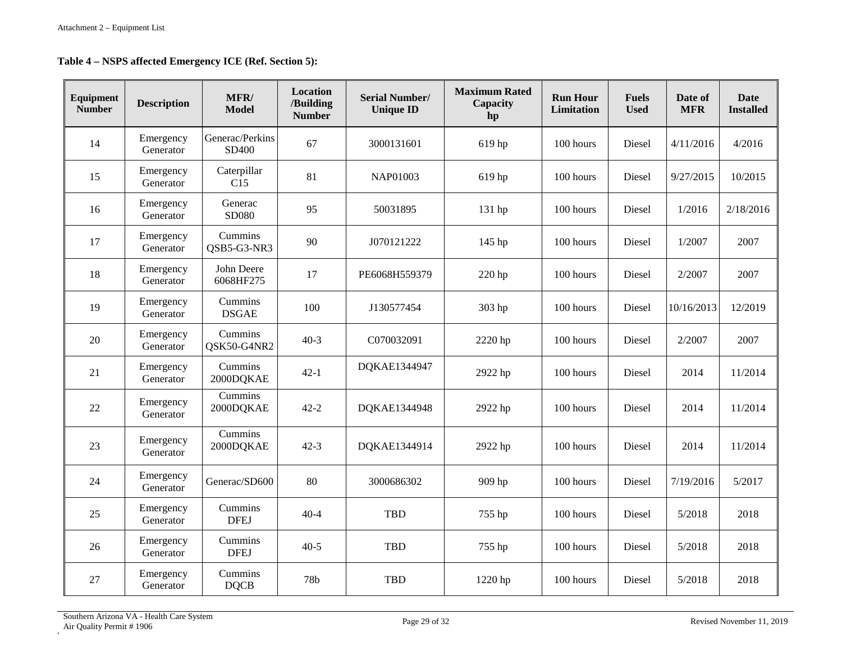**Table 4 – NSPS affected Emergency ICE (Ref. Section 5):**

| Equipment<br><b>Number</b> | <b>Description</b>     | MFR/<br><b>Model</b>     | <b>Location</b><br>/Building<br><b>Number</b> | <b>Serial Number/</b><br><b>Unique ID</b> | <b>Maximum Rated</b><br>Capacity<br>hp | <b>Run Hour</b><br>Limitation | <b>Fuels</b><br><b>Used</b> | Date of<br><b>MFR</b> | <b>Date</b><br><b>Installed</b> |
|----------------------------|------------------------|--------------------------|-----------------------------------------------|-------------------------------------------|----------------------------------------|-------------------------------|-----------------------------|-----------------------|---------------------------------|
| 14                         | Emergency<br>Generator | Generac/Perkins<br>SD400 | 67                                            | 3000131601                                | 619 hp                                 | 100 hours                     | Diesel                      | 4/11/2016             | 4/2016                          |
| 15                         | Emergency<br>Generator | Caterpillar<br>C15       | 81                                            | NAP01003                                  | 619 hp                                 | 100 hours                     | Diesel                      | 9/27/2015             | 10/2015                         |
| 16                         | Emergency<br>Generator | Generac<br>SD080         | 95                                            | 50031895                                  | 131 hp                                 | 100 hours                     | Diesel                      | 1/2016                | 2/18/2016                       |
| 17                         | Emergency<br>Generator | Cummins<br>QSB5-G3-NR3   | 90                                            | J070121222                                | 145 hp                                 | 100 hours                     | Diesel                      | 1/2007                | 2007                            |
| 18                         | Emergency<br>Generator | John Deere<br>6068HF275  | 17                                            | PE6068H559379                             | 220 hp                                 | 100 hours                     | Diesel                      | 2/2007                | 2007                            |
| 19                         | Emergency<br>Generator | Cummins<br><b>DSGAE</b>  | 100                                           | J130577454                                | 303 hp                                 | 100 hours                     | Diesel                      | 10/16/2013            | 12/2019                         |
| 20                         | Emergency<br>Generator | Cummins<br>QSK50-G4NR2   | $40-3$                                        | C070032091                                | 2220 hp                                | 100 hours                     | Diesel                      | 2/2007                | 2007                            |
| 21                         | Emergency<br>Generator | Cummins<br>2000DQKAE     | $42-1$                                        | DQKAE1344947                              | 2922 hp                                | 100 hours                     | Diesel                      | 2014                  | 11/2014                         |
| $22\,$                     | Emergency<br>Generator | Cummins<br>2000DQKAE     | $42 - 2$                                      | DQKAE1344948                              | 2922 hp                                | 100 hours                     | Diesel                      | 2014                  | 11/2014                         |
| 23                         | Emergency<br>Generator | Cummins<br>2000DQKAE     | $42 - 3$                                      | DQKAE1344914                              | 2922 hp                                | 100 hours                     | Diesel                      | 2014                  | 11/2014                         |
| 24                         | Emergency<br>Generator | Generac/SD600            | 80                                            | 3000686302                                | 909 hp                                 | 100 hours                     | Diesel                      | 7/19/2016             | 5/2017                          |
| 25                         | Emergency<br>Generator | Cummins<br><b>DFEJ</b>   | $40 - 4$                                      | <b>TBD</b>                                | 755 hp                                 | 100 hours                     | Diesel                      | 5/2018                | 2018                            |
| 26                         | Emergency<br>Generator | Cummins<br><b>DFEJ</b>   | $40-5$                                        | <b>TBD</b>                                | 755 hp                                 | 100 hours                     | Diesel                      | 5/2018                | 2018                            |
| 27                         | Emergency<br>Generator | Cummins<br><b>DQCB</b>   | 78b                                           | <b>TBD</b>                                | 1220 hp                                | 100 hours                     | Diesel                      | 5/2018                | 2018                            |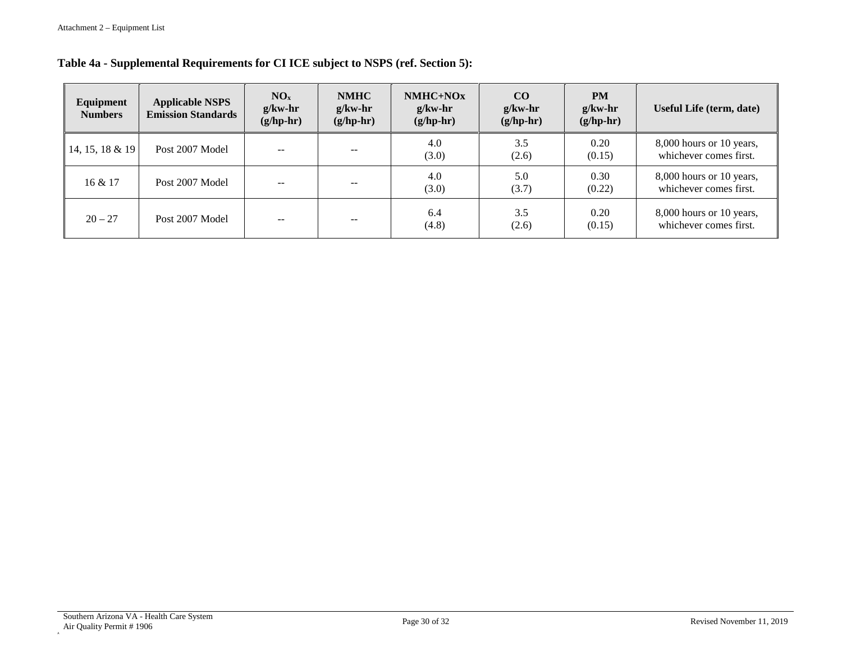## **Table 4a - Supplemental Requirements for CI ICE subject to NSPS (ref. Section 5):**

| Equipment<br><b>Numbers</b> | <b>Applicable NSPS</b><br><b>Emission Standards</b> | NO <sub>x</sub><br>$g/kw-hr$<br>$(g/hp-hr)$ | <b>NMHC</b><br>$g/kw-hr$<br>$(g/hp-hr)$ | $NMHC+NOx$<br>$g/kw-hr$<br>$(g/hp-hr)$ | <b>CO</b><br>$g/kw-hr$<br>$(g/hp-hr)$ | <b>PM</b><br>$g/kw-hr$<br>$(g/hp-hr)$ | Useful Life (term, date)                           |
|-----------------------------|-----------------------------------------------------|---------------------------------------------|-----------------------------------------|----------------------------------------|---------------------------------------|---------------------------------------|----------------------------------------------------|
| 14, 15, 18 & 19             | Post 2007 Model                                     | --                                          | $\qquad \qquad -$                       | 4.0<br>(3.0)                           | 3.5<br>(2.6)                          | 0.20<br>(0.15)                        | 8,000 hours or 10 years,<br>whichever comes first. |
| 16 & 17                     | Post 2007 Model                                     |                                             |                                         | 4.0<br>(3.0)                           | 5.0<br>(3.7)                          | 0.30<br>(0.22)                        | 8,000 hours or 10 years,<br>whichever comes first. |
| $20 - 27$                   | Post 2007 Model                                     |                                             | $\qquad \qquad -$                       | 6.4<br>(4.8)                           | 3.5<br>(2.6)                          | 0.20<br>(0.15)                        | 8,000 hours or 10 years,<br>whichever comes first. |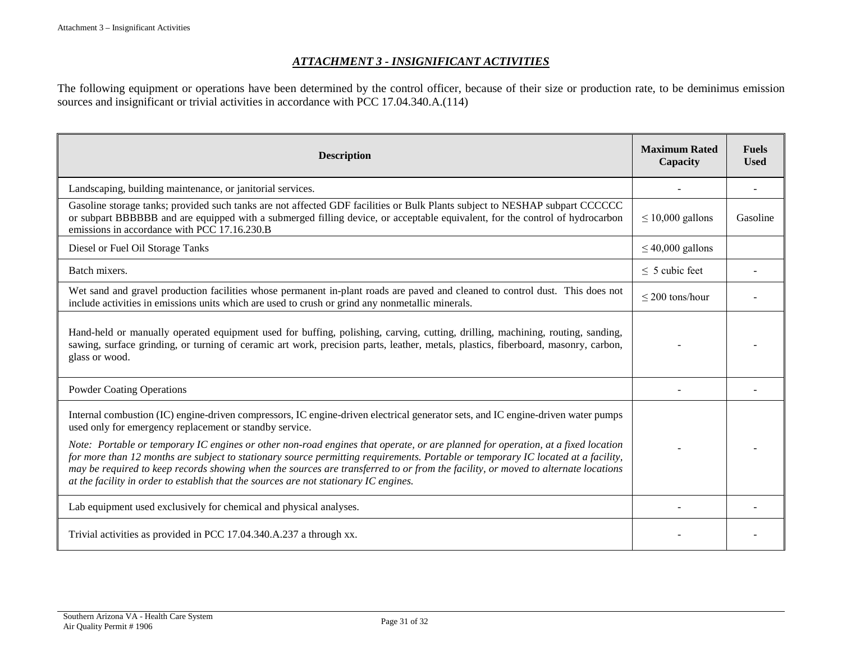#### *ATTACHMENT 3 - INSIGNIFICANT ACTIVITIES*

The following equipment or operations have been determined by the control officer, because of their size or production rate, to be deminimus emission sources and insignificant or trivial activities in accordance with PCC 17.04.340.A.(114)

| <b>Description</b>                                                                                                                                                                                                                                                                                                                                                                                                                                                                                  | <b>Maximum Rated</b><br>Capacity | <b>Fuels</b><br><b>Used</b> |
|-----------------------------------------------------------------------------------------------------------------------------------------------------------------------------------------------------------------------------------------------------------------------------------------------------------------------------------------------------------------------------------------------------------------------------------------------------------------------------------------------------|----------------------------------|-----------------------------|
| Landscaping, building maintenance, or janitorial services.                                                                                                                                                                                                                                                                                                                                                                                                                                          |                                  |                             |
| Gasoline storage tanks; provided such tanks are not affected GDF facilities or Bulk Plants subject to NESHAP subpart CCCCCC<br>or subpart BBBBBB and are equipped with a submerged filling device, or acceptable equivalent, for the control of hydrocarbon<br>emissions in accordance with PCC 17.16.230.B                                                                                                                                                                                         | $\leq 10,000$ gallons            | Gasoline                    |
| Diesel or Fuel Oil Storage Tanks                                                                                                                                                                                                                                                                                                                                                                                                                                                                    | $\leq$ 40,000 gallons            |                             |
| Batch mixers.                                                                                                                                                                                                                                                                                                                                                                                                                                                                                       | $\leq$ 5 cubic feet              |                             |
| Wet sand and gravel production facilities whose permanent in-plant roads are paved and cleaned to control dust. This does not<br>include activities in emissions units which are used to crush or grind any nonmetallic minerals.                                                                                                                                                                                                                                                                   | $\leq$ 200 tons/hour             |                             |
| Hand-held or manually operated equipment used for buffing, polishing, carving, cutting, drilling, machining, routing, sanding,<br>sawing, surface grinding, or turning of ceramic art work, precision parts, leather, metals, plastics, fiberboard, masonry, carbon,<br>glass or wood.                                                                                                                                                                                                              |                                  |                             |
| <b>Powder Coating Operations</b>                                                                                                                                                                                                                                                                                                                                                                                                                                                                    |                                  |                             |
| Internal combustion (IC) engine-driven compressors, IC engine-driven electrical generator sets, and IC engine-driven water pumps<br>used only for emergency replacement or standby service.                                                                                                                                                                                                                                                                                                         |                                  |                             |
| Note: Portable or temporary IC engines or other non-road engines that operate, or are planned for operation, at a fixed location<br>for more than 12 months are subject to stationary source permitting requirements. Portable or temporary IC located at a facility,<br>may be required to keep records showing when the sources are transferred to or from the facility, or moved to alternate locations<br>at the facility in order to establish that the sources are not stationary IC engines. |                                  |                             |
| Lab equipment used exclusively for chemical and physical analyses.                                                                                                                                                                                                                                                                                                                                                                                                                                  |                                  |                             |
| Trivial activities as provided in PCC 17.04.340.A.237 a through xx.                                                                                                                                                                                                                                                                                                                                                                                                                                 |                                  |                             |